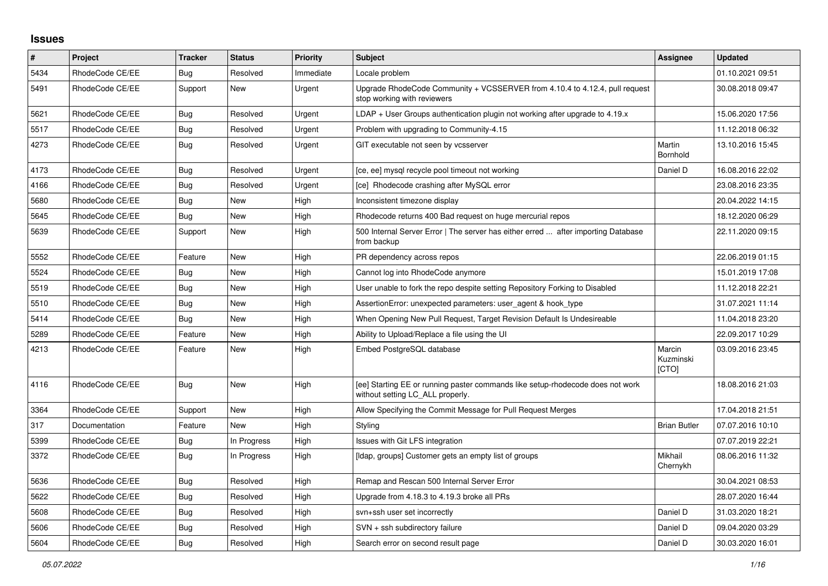## **Issues**

| $\pmb{\#}$ | <b>Project</b>  | <b>Tracker</b> | <b>Status</b> | <b>Priority</b> | <b>Subject</b>                                                                                                     | <b>Assignee</b>              | <b>Updated</b>   |
|------------|-----------------|----------------|---------------|-----------------|--------------------------------------------------------------------------------------------------------------------|------------------------------|------------------|
| 5434       | RhodeCode CE/EE | Bug            | Resolved      | Immediate       | Locale problem                                                                                                     |                              | 01.10.2021 09:51 |
| 5491       | RhodeCode CE/EE | Support        | <b>New</b>    | Urgent          | Upgrade RhodeCode Community + VCSSERVER from 4.10.4 to 4.12.4, pull request<br>stop working with reviewers         |                              | 30.08.2018 09:47 |
| 5621       | RhodeCode CE/EE | <b>Bug</b>     | Resolved      | Urgent          | LDAP + User Groups authentication plugin not working after upgrade to 4.19.x                                       |                              | 15.06.2020 17:56 |
| 5517       | RhodeCode CE/EE | <b>Bug</b>     | Resolved      | Urgent          | Problem with upgrading to Community-4.15                                                                           |                              | 11.12.2018 06:32 |
| 4273       | RhodeCode CE/EE | Bug            | Resolved      | Urgent          | GIT executable not seen by vcsserver                                                                               | Martin<br>Bornhold           | 13.10.2016 15:45 |
| 4173       | RhodeCode CE/EE | <b>Bug</b>     | Resolved      | Urgent          | [ce, ee] mysql recycle pool timeout not working                                                                    | Daniel D                     | 16.08.2016 22:02 |
| 4166       | RhodeCode CE/EE | Bug            | Resolved      | Urgent          | [ce] Rhodecode crashing after MySQL error                                                                          |                              | 23.08.2016 23:35 |
| 5680       | RhodeCode CE/EE | <b>Bug</b>     | New           | High            | Inconsistent timezone display                                                                                      |                              | 20.04.2022 14:15 |
| 5645       | RhodeCode CE/EE | <b>Bug</b>     | New           | High            | Rhodecode returns 400 Bad request on huge mercurial repos                                                          |                              | 18.12.2020 06:29 |
| 5639       | RhodeCode CE/EE | Support        | New           | High            | 500 Internal Server Error   The server has either erred  after importing Database<br>from backup                   |                              | 22.11.2020 09:15 |
| 5552       | RhodeCode CE/EE | Feature        | New           | High            | PR dependency across repos                                                                                         |                              | 22.06.2019 01:15 |
| 5524       | RhodeCode CE/EE | Bug            | New           | High            | Cannot log into RhodeCode anymore                                                                                  |                              | 15.01.2019 17:08 |
| 5519       | RhodeCode CE/EE | <b>Bug</b>     | <b>New</b>    | High            | User unable to fork the repo despite setting Repository Forking to Disabled                                        |                              | 11.12.2018 22:21 |
| 5510       | RhodeCode CE/EE | Bug            | New           | High            | AssertionError: unexpected parameters: user agent & hook type                                                      |                              | 31.07.2021 11:14 |
| 5414       | RhodeCode CE/EE | Bug            | <b>New</b>    | High            | When Opening New Pull Request, Target Revision Default Is Undesireable                                             |                              | 11.04.2018 23:20 |
| 5289       | RhodeCode CE/EE | Feature        | New           | High            | Ability to Upload/Replace a file using the UI                                                                      |                              | 22.09.2017 10:29 |
| 4213       | RhodeCode CE/EE | Feature        | New           | High            | Embed PostgreSQL database                                                                                          | Marcin<br>Kuzminski<br>[CTO] | 03.09.2016 23:45 |
| 4116       | RhodeCode CE/EE | Bug            | New           | High            | [ee] Starting EE or running paster commands like setup-rhodecode does not work<br>without setting LC_ALL properly. |                              | 18.08.2016 21:03 |
| 3364       | RhodeCode CE/EE | Support        | <b>New</b>    | High            | Allow Specifying the Commit Message for Pull Request Merges                                                        |                              | 17.04.2018 21:51 |
| 317        | Documentation   | Feature        | <b>New</b>    | High            | Styling                                                                                                            | <b>Brian Butler</b>          | 07.07.2016 10:10 |
| 5399       | RhodeCode CE/EE | <b>Bug</b>     | In Progress   | High            | Issues with Git LFS integration                                                                                    |                              | 07.07.2019 22:21 |
| 3372       | RhodeCode CE/EE | <b>Bug</b>     | In Progress   | High            | [Idap, groups] Customer gets an empty list of groups                                                               | Mikhail<br>Chernykh          | 08.06.2016 11:32 |
| 5636       | RhodeCode CE/EE | <b>Bug</b>     | Resolved      | High            | Remap and Rescan 500 Internal Server Error                                                                         |                              | 30.04.2021 08:53 |
| 5622       | RhodeCode CE/EE | Bug            | Resolved      | High            | Upgrade from 4.18.3 to 4.19.3 broke all PRs                                                                        |                              | 28.07.2020 16:44 |
| 5608       | RhodeCode CE/EE | Bug            | Resolved      | High            | svn+ssh user set incorrectly                                                                                       | Daniel D                     | 31.03.2020 18:21 |
| 5606       | RhodeCode CE/EE | Bug            | Resolved      | High            | SVN + ssh subdirectory failure                                                                                     | Daniel D                     | 09.04.2020 03:29 |
| 5604       | RhodeCode CE/EE | Bug            | Resolved      | High            | Search error on second result page                                                                                 | Daniel D                     | 30.03.2020 16:01 |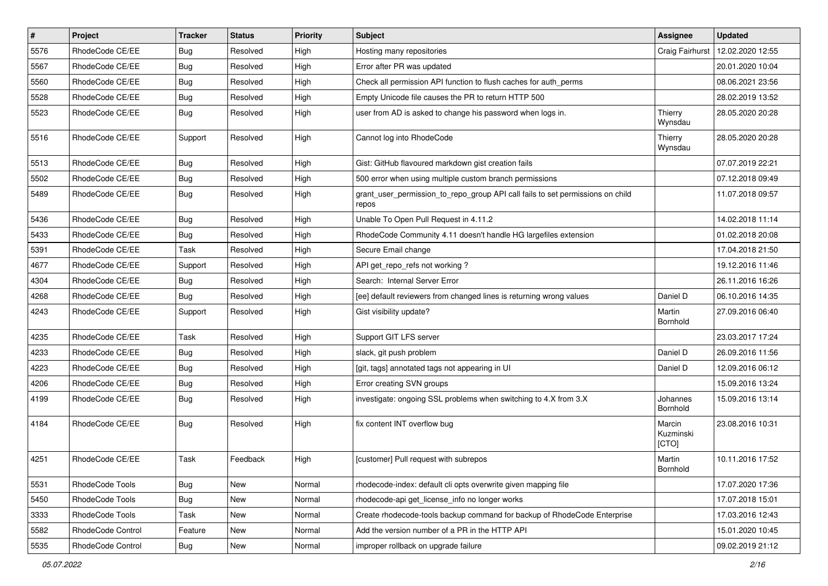| $\vert$ # | Project           | <b>Tracker</b> | <b>Status</b> | <b>Priority</b> | Subject                                                                                 | Assignee                     | <b>Updated</b>   |
|-----------|-------------------|----------------|---------------|-----------------|-----------------------------------------------------------------------------------------|------------------------------|------------------|
| 5576      | RhodeCode CE/EE   | Bug            | Resolved      | High            | Hosting many repositories                                                               | Craig Fairhurst              | 12.02.2020 12:55 |
| 5567      | RhodeCode CE/EE   | Bug            | Resolved      | High            | Error after PR was updated                                                              |                              | 20.01.2020 10:04 |
| 5560      | RhodeCode CE/EE   | Bug            | Resolved      | High            | Check all permission API function to flush caches for auth_perms                        |                              | 08.06.2021 23:56 |
| 5528      | RhodeCode CE/EE   | Bug            | Resolved      | High            | Empty Unicode file causes the PR to return HTTP 500                                     |                              | 28.02.2019 13:52 |
| 5523      | RhodeCode CE/EE   | Bug            | Resolved      | High            | user from AD is asked to change his password when logs in.                              | Thierry<br>Wynsdau           | 28.05.2020 20:28 |
| 5516      | RhodeCode CE/EE   | Support        | Resolved      | High            | Cannot log into RhodeCode                                                               | Thierry<br>Wynsdau           | 28.05.2020 20:28 |
| 5513      | RhodeCode CE/EE   | Bug            | Resolved      | High            | Gist: GitHub flavoured markdown gist creation fails                                     |                              | 07.07.2019 22:21 |
| 5502      | RhodeCode CE/EE   | Bug            | Resolved      | High            | 500 error when using multiple custom branch permissions                                 |                              | 07.12.2018 09:49 |
| 5489      | RhodeCode CE/EE   | Bug            | Resolved      | High            | grant_user_permission_to_repo_group API call fails to set permissions on child<br>repos |                              | 11.07.2018 09:57 |
| 5436      | RhodeCode CE/EE   | Bug            | Resolved      | High            | Unable To Open Pull Request in 4.11.2                                                   |                              | 14.02.2018 11:14 |
| 5433      | RhodeCode CE/EE   | Bug            | Resolved      | High            | RhodeCode Community 4.11 doesn't handle HG largefiles extension                         |                              | 01.02.2018 20:08 |
| 5391      | RhodeCode CE/EE   | Task           | Resolved      | High            | Secure Email change                                                                     |                              | 17.04.2018 21:50 |
| 4677      | RhodeCode CE/EE   | Support        | Resolved      | High            | API get_repo_refs not working?                                                          |                              | 19.12.2016 11:46 |
| 4304      | RhodeCode CE/EE   | Bug            | Resolved      | High            | Search: Internal Server Error                                                           |                              | 26.11.2016 16:26 |
| 4268      | RhodeCode CE/EE   | Bug            | Resolved      | High            | [ee] default reviewers from changed lines is returning wrong values                     | Daniel D                     | 06.10.2016 14:35 |
| 4243      | RhodeCode CE/EE   | Support        | Resolved      | High            | Gist visibility update?                                                                 | Martin<br>Bornhold           | 27.09.2016 06:40 |
| 4235      | RhodeCode CE/EE   | Task           | Resolved      | High            | Support GIT LFS server                                                                  |                              | 23.03.2017 17:24 |
| 4233      | RhodeCode CE/EE   | Bug            | Resolved      | High            | slack, git push problem                                                                 | Daniel D                     | 26.09.2016 11:56 |
| 4223      | RhodeCode CE/EE   | Bug            | Resolved      | High            | [git, tags] annotated tags not appearing in UI                                          | Daniel D                     | 12.09.2016 06:12 |
| 4206      | RhodeCode CE/EE   | Bug            | Resolved      | High            | Error creating SVN groups                                                               |                              | 15.09.2016 13:24 |
| 4199      | RhodeCode CE/EE   | Bug            | Resolved      | High            | investigate: ongoing SSL problems when switching to 4.X from 3.X                        | Johannes<br>Bornhold         | 15.09.2016 13:14 |
| 4184      | RhodeCode CE/EE   | <b>Bug</b>     | Resolved      | High            | fix content INT overflow bug                                                            | Marcin<br>Kuzminski<br>[CTO] | 23.08.2016 10:31 |
| 4251      | RhodeCode CE/EE   | Task           | Feedback      | High            | [customer] Pull request with subrepos                                                   | Martin<br>Bornhold           | 10.11.2016 17:52 |
| 5531      | RhodeCode Tools   | Bug            | New           | Normal          | rhodecode-index: default cli opts overwrite given mapping file                          |                              | 17.07.2020 17:36 |
| 5450      | RhodeCode Tools   | <b>Bug</b>     | New           | Normal          | rhodecode-api get_license_info no longer works                                          |                              | 17.07.2018 15:01 |
| 3333      | RhodeCode Tools   | Task           | New           | Normal          | Create rhodecode-tools backup command for backup of RhodeCode Enterprise                |                              | 17.03.2016 12:43 |
| 5582      | RhodeCode Control | Feature        | New           | Normal          | Add the version number of a PR in the HTTP API                                          |                              | 15.01.2020 10:45 |
| 5535      | RhodeCode Control | <b>Bug</b>     | New           | Normal          | improper rollback on upgrade failure                                                    |                              | 09.02.2019 21:12 |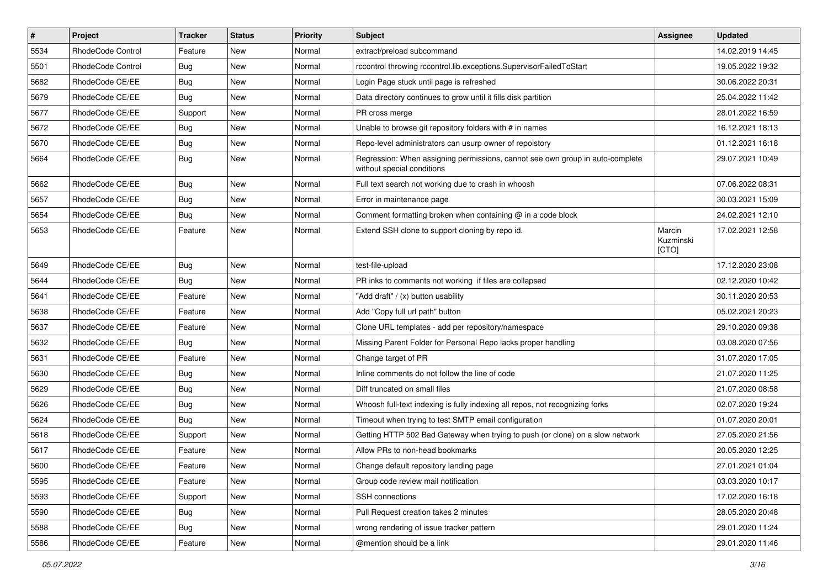| $\pmb{\#}$ | Project           | <b>Tracker</b> | <b>Status</b> | Priority | <b>Subject</b>                                                                                              | Assignee                     | <b>Updated</b>   |
|------------|-------------------|----------------|---------------|----------|-------------------------------------------------------------------------------------------------------------|------------------------------|------------------|
| 5534       | RhodeCode Control | Feature        | New           | Normal   | extract/preload subcommand                                                                                  |                              | 14.02.2019 14:45 |
| 5501       | RhodeCode Control | Bug            | New           | Normal   | rccontrol throwing rccontrol.lib.exceptions.SupervisorFailedToStart                                         |                              | 19.05.2022 19:32 |
| 5682       | RhodeCode CE/EE   | Bug            | New           | Normal   | Login Page stuck until page is refreshed                                                                    |                              | 30.06.2022 20:31 |
| 5679       | RhodeCode CE/EE   | Bug            | New           | Normal   | Data directory continues to grow until it fills disk partition                                              |                              | 25.04.2022 11:42 |
| 5677       | RhodeCode CE/EE   | Support        | <b>New</b>    | Normal   | PR cross merge                                                                                              |                              | 28.01.2022 16:59 |
| 5672       | RhodeCode CE/EE   | <b>Bug</b>     | New           | Normal   | Unable to browse git repository folders with # in names                                                     |                              | 16.12.2021 18:13 |
| 5670       | RhodeCode CE/EE   | Bug            | New           | Normal   | Repo-level administrators can usurp owner of repoistory                                                     |                              | 01.12.2021 16:18 |
| 5664       | RhodeCode CE/EE   | Bug            | New           | Normal   | Regression: When assigning permissions, cannot see own group in auto-complete<br>without special conditions |                              | 29.07.2021 10:49 |
| 5662       | RhodeCode CE/EE   | <b>Bug</b>     | <b>New</b>    | Normal   | Full text search not working due to crash in whoosh                                                         |                              | 07.06.2022 08:31 |
| 5657       | RhodeCode CE/EE   | Bug            | New           | Normal   | Error in maintenance page                                                                                   |                              | 30.03.2021 15:09 |
| 5654       | RhodeCode CE/EE   | <b>Bug</b>     | New           | Normal   | Comment formatting broken when containing @ in a code block                                                 |                              | 24.02.2021 12:10 |
| 5653       | RhodeCode CE/EE   | Feature        | <b>New</b>    | Normal   | Extend SSH clone to support cloning by repo id.                                                             | Marcin<br>Kuzminski<br>[CTO] | 17.02.2021 12:58 |
| 5649       | RhodeCode CE/EE   | Bug            | <b>New</b>    | Normal   | test-file-upload                                                                                            |                              | 17.12.2020 23:08 |
| 5644       | RhodeCode CE/EE   | Bug            | New           | Normal   | PR inks to comments not working if files are collapsed                                                      |                              | 02.12.2020 10:42 |
| 5641       | RhodeCode CE/EE   | Feature        | New           | Normal   | "Add draft" / (x) button usability                                                                          |                              | 30.11.2020 20:53 |
| 5638       | RhodeCode CE/EE   | Feature        | New           | Normal   | Add "Copy full url path" button                                                                             |                              | 05.02.2021 20:23 |
| 5637       | RhodeCode CE/EE   | Feature        | New           | Normal   | Clone URL templates - add per repository/namespace                                                          |                              | 29.10.2020 09:38 |
| 5632       | RhodeCode CE/EE   | Bug            | <b>New</b>    | Normal   | Missing Parent Folder for Personal Repo lacks proper handling                                               |                              | 03.08.2020 07:56 |
| 5631       | RhodeCode CE/EE   | Feature        | New           | Normal   | Change target of PR                                                                                         |                              | 31.07.2020 17:05 |
| 5630       | RhodeCode CE/EE   | <b>Bug</b>     | New           | Normal   | Inline comments do not follow the line of code                                                              |                              | 21.07.2020 11:25 |
| 5629       | RhodeCode CE/EE   | Bug            | New           | Normal   | Diff truncated on small files                                                                               |                              | 21.07.2020 08:58 |
| 5626       | RhodeCode CE/EE   | <b>Bug</b>     | New           | Normal   | Whoosh full-text indexing is fully indexing all repos, not recognizing forks                                |                              | 02.07.2020 19:24 |
| 5624       | RhodeCode CE/EE   | Bug            | <b>New</b>    | Normal   | Timeout when trying to test SMTP email configuration                                                        |                              | 01.07.2020 20:01 |
| 5618       | RhodeCode CE/EE   | Support        | New           | Normal   | Getting HTTP 502 Bad Gateway when trying to push (or clone) on a slow network                               |                              | 27.05.2020 21:56 |
| 5617       | RhodeCode CE/EE   | Feature        | New           | Normal   | Allow PRs to non-head bookmarks                                                                             |                              | 20.05.2020 12:25 |
| 5600       | RhodeCode CE/EE   | Feature        | New           | Normal   | Change default repository landing page                                                                      |                              | 27.01.2021 01:04 |
| 5595       | RhodeCode CE/EE   | Feature        | New           | Normal   | Group code review mail notification                                                                         |                              | 03.03.2020 10:17 |
| 5593       | RhodeCode CE/EE   | Support        | New           | Normal   | SSH connections                                                                                             |                              | 17.02.2020 16:18 |
| 5590       | RhodeCode CE/EE   | Bug            | New           | Normal   | Pull Request creation takes 2 minutes                                                                       |                              | 28.05.2020 20:48 |
| 5588       | RhodeCode CE/EE   | Bug            | New           | Normal   | wrong rendering of issue tracker pattern                                                                    |                              | 29.01.2020 11:24 |
| 5586       | RhodeCode CE/EE   | Feature        | New           | Normal   | @mention should be a link                                                                                   |                              | 29.01.2020 11:46 |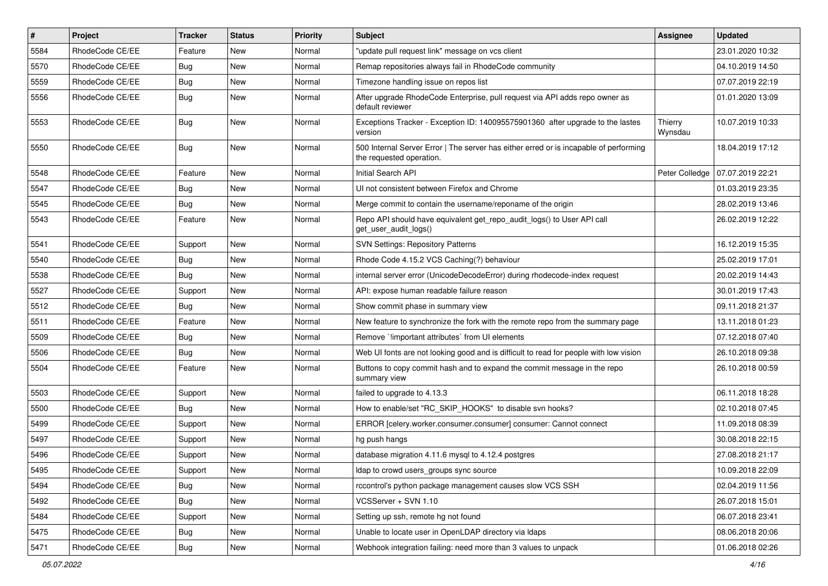| $\sharp$ | Project         | <b>Tracker</b> | <b>Status</b> | Priority | <b>Subject</b>                                                                                                    | <b>Assignee</b>    | <b>Updated</b>   |
|----------|-----------------|----------------|---------------|----------|-------------------------------------------------------------------------------------------------------------------|--------------------|------------------|
| 5584     | RhodeCode CE/EE | Feature        | New           | Normal   | "update pull request link" message on vcs client                                                                  |                    | 23.01.2020 10:32 |
| 5570     | RhodeCode CE/EE | Bug            | <b>New</b>    | Normal   | Remap repositories always fail in RhodeCode community                                                             |                    | 04.10.2019 14:50 |
| 5559     | RhodeCode CE/EE | Bug            | New           | Normal   | Timezone handling issue on repos list                                                                             |                    | 07.07.2019 22:19 |
| 5556     | RhodeCode CE/EE | Bug            | New           | Normal   | After upgrade RhodeCode Enterprise, pull request via API adds repo owner as<br>default reviewer                   |                    | 01.01.2020 13:09 |
| 5553     | RhodeCode CE/EE | Bug            | <b>New</b>    | Normal   | Exceptions Tracker - Exception ID: 140095575901360 after upgrade to the lastes<br>version                         | Thierry<br>Wynsdau | 10.07.2019 10:33 |
| 5550     | RhodeCode CE/EE | Bug            | <b>New</b>    | Normal   | 500 Internal Server Error   The server has either erred or is incapable of performing<br>the requested operation. |                    | 18.04.2019 17:12 |
| 5548     | RhodeCode CE/EE | Feature        | <b>New</b>    | Normal   | Initial Search API                                                                                                | Peter Colledge     | 07.07.2019 22:21 |
| 5547     | RhodeCode CE/EE | <b>Bug</b>     | New           | Normal   | UI not consistent between Firefox and Chrome                                                                      |                    | 01.03.2019 23:35 |
| 5545     | RhodeCode CE/EE | <b>Bug</b>     | New           | Normal   | Merge commit to contain the username/reponame of the origin                                                       |                    | 28.02.2019 13:46 |
| 5543     | RhodeCode CE/EE | Feature        | New           | Normal   | Repo API should have equivalent get_repo_audit_logs() to User API call<br>get user audit logs()                   |                    | 26.02.2019 12:22 |
| 5541     | RhodeCode CE/EE | Support        | <b>New</b>    | Normal   | <b>SVN Settings: Repository Patterns</b>                                                                          |                    | 16.12.2019 15:35 |
| 5540     | RhodeCode CE/EE | Bug            | <b>New</b>    | Normal   | Rhode Code 4.15.2 VCS Caching(?) behaviour                                                                        |                    | 25.02.2019 17:01 |
| 5538     | RhodeCode CE/EE | <b>Bug</b>     | New           | Normal   | internal server error (UnicodeDecodeError) during rhodecode-index request                                         |                    | 20.02.2019 14:43 |
| 5527     | RhodeCode CE/EE | Support        | New           | Normal   | API: expose human readable failure reason                                                                         |                    | 30.01.2019 17:43 |
| 5512     | RhodeCode CE/EE | Bug            | New           | Normal   | Show commit phase in summary view                                                                                 |                    | 09.11.2018 21:37 |
| 5511     | RhodeCode CE/EE | Feature        | New           | Normal   | New feature to synchronize the fork with the remote repo from the summary page                                    |                    | 13.11.2018 01:23 |
| 5509     | RhodeCode CE/EE | Bug            | <b>New</b>    | Normal   | Remove `limportant attributes` from UI elements                                                                   |                    | 07.12.2018 07:40 |
| 5506     | RhodeCode CE/EE | Bug            | New           | Normal   | Web UI fonts are not looking good and is difficult to read for people with low vision                             |                    | 26.10.2018 09:38 |
| 5504     | RhodeCode CE/EE | Feature        | New           | Normal   | Buttons to copy commit hash and to expand the commit message in the repo<br>summary view                          |                    | 26.10.2018 00:59 |
| 5503     | RhodeCode CE/EE | Support        | <b>New</b>    | Normal   | failed to upgrade to 4.13.3                                                                                       |                    | 06.11.2018 18:28 |
| 5500     | RhodeCode CE/EE | Bug            | New           | Normal   | How to enable/set "RC_SKIP_HOOKS" to disable svn hooks?                                                           |                    | 02.10.2018 07:45 |
| 5499     | RhodeCode CE/EE | Support        | New           | Normal   | ERROR [celery.worker.consumer.consumer] consumer: Cannot connect                                                  |                    | 11.09.2018 08:39 |
| 5497     | RhodeCode CE/EE | Support        | New           | Normal   | hg push hangs                                                                                                     |                    | 30.08.2018 22:15 |
| 5496     | RhodeCode CE/EE | Support        | <b>New</b>    | Normal   | database migration 4.11.6 mysql to 4.12.4 postgres                                                                |                    | 27.08.2018 21:17 |
| 5495     | RhodeCode CE/EE | Support        | New           | Normal   | Idap to crowd users groups sync source                                                                            |                    | 10.09.2018 22:09 |
| 5494     | RhodeCode CE/EE | Bug            | <b>New</b>    | Normal   | rccontrol's python package management causes slow VCS SSH                                                         |                    | 02.04.2019 11:56 |
| 5492     | RhodeCode CE/EE | Bug            | New           | Normal   | VCSServer + SVN 1.10                                                                                              |                    | 26.07.2018 15:01 |
| 5484     | RhodeCode CE/EE | Support        | New           | Normal   | Setting up ssh, remote hg not found                                                                               |                    | 06.07.2018 23:41 |
| 5475     | RhodeCode CE/EE | <b>Bug</b>     | New           | Normal   | Unable to locate user in OpenLDAP directory via Idaps                                                             |                    | 08.06.2018 20:06 |
| 5471     | RhodeCode CE/EE | Bug            | New           | Normal   | Webhook integration failing: need more than 3 values to unpack                                                    |                    | 01.06.2018 02:26 |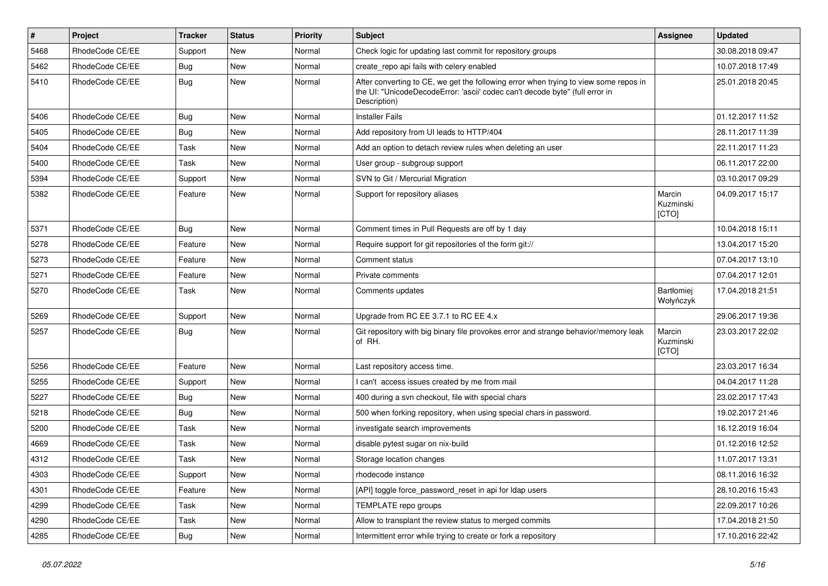| #    | Project         | <b>Tracker</b> | <b>Status</b> | <b>Priority</b> | Subject                                                                                                                                                                              | <b>Assignee</b>              | <b>Updated</b>   |
|------|-----------------|----------------|---------------|-----------------|--------------------------------------------------------------------------------------------------------------------------------------------------------------------------------------|------------------------------|------------------|
| 5468 | RhodeCode CE/EE | Support        | New           | Normal          | Check logic for updating last commit for repository groups                                                                                                                           |                              | 30.08.2018 09:47 |
| 5462 | RhodeCode CE/EE | Bug            | <b>New</b>    | Normal          | create_repo api fails with celery enabled                                                                                                                                            |                              | 10.07.2018 17:49 |
| 5410 | RhodeCode CE/EE | Bug            | New           | Normal          | After converting to CE, we get the following error when trying to view some repos in<br>the UI: "UnicodeDecodeError: 'ascii' codec can't decode byte" (full error in<br>Description) |                              | 25.01.2018 20:45 |
| 5406 | RhodeCode CE/EE | Bug            | <b>New</b>    | Normal          | <b>Installer Fails</b>                                                                                                                                                               |                              | 01.12.2017 11:52 |
| 5405 | RhodeCode CE/EE | Bug            | New           | Normal          | Add repository from UI leads to HTTP/404                                                                                                                                             |                              | 28.11.2017 11:39 |
| 5404 | RhodeCode CE/EE | Task           | <b>New</b>    | Normal          | Add an option to detach review rules when deleting an user                                                                                                                           |                              | 22.11.2017 11:23 |
| 5400 | RhodeCode CE/EE | Task           | <b>New</b>    | Normal          | User group - subgroup support                                                                                                                                                        |                              | 06.11.2017 22:00 |
| 5394 | RhodeCode CE/EE | Support        | <b>New</b>    | Normal          | SVN to Git / Mercurial Migration                                                                                                                                                     |                              | 03.10.2017 09:29 |
| 5382 | RhodeCode CE/EE | Feature        | New           | Normal          | Support for repository aliases                                                                                                                                                       | Marcin<br>Kuzminski<br>[CTO] | 04.09.2017 15:17 |
| 5371 | RhodeCode CE/EE | <b>Bug</b>     | New           | Normal          | Comment times in Pull Requests are off by 1 day                                                                                                                                      |                              | 10.04.2018 15:11 |
| 5278 | RhodeCode CE/EE | Feature        | <b>New</b>    | Normal          | Require support for git repositories of the form git://                                                                                                                              |                              | 13.04.2017 15:20 |
| 5273 | RhodeCode CE/EE | Feature        | <b>New</b>    | Normal          | Comment status                                                                                                                                                                       |                              | 07.04.2017 13:10 |
| 5271 | RhodeCode CE/EE | Feature        | New           | Normal          | Private comments                                                                                                                                                                     |                              | 07.04.2017 12:01 |
| 5270 | RhodeCode CE/EE | Task           | New           | Normal          | Comments updates                                                                                                                                                                     | Bartłomiej<br>Wołyńczyk      | 17.04.2018 21:51 |
| 5269 | RhodeCode CE/EE | Support        | <b>New</b>    | Normal          | Upgrade from RC EE 3.7.1 to RC EE 4.x                                                                                                                                                |                              | 29.06.2017 19:36 |
| 5257 | RhodeCode CE/EE | Bug            | <b>New</b>    | Normal          | Git repository with big binary file provokes error and strange behavior/memory leak<br>of RH.                                                                                        | Marcin<br>Kuzminski<br>[CTO] | 23.03.2017 22:02 |
| 5256 | RhodeCode CE/EE | Feature        | <b>New</b>    | Normal          | Last repository access time.                                                                                                                                                         |                              | 23.03.2017 16:34 |
| 5255 | RhodeCode CE/EE | Support        | New           | Normal          | I can't access issues created by me from mail                                                                                                                                        |                              | 04.04.2017 11:28 |
| 5227 | RhodeCode CE/EE | Bug            | New           | Normal          | 400 during a svn checkout, file with special chars                                                                                                                                   |                              | 23.02.2017 17:43 |
| 5218 | RhodeCode CE/EE | Bug            | New           | Normal          | 500 when forking repository, when using special chars in password.                                                                                                                   |                              | 19.02.2017 21:46 |
| 5200 | RhodeCode CE/EE | Task           | New           | Normal          | investigate search improvements                                                                                                                                                      |                              | 16.12.2019 16:04 |
| 4669 | RhodeCode CE/EE | Task           | <b>New</b>    | Normal          | disable pytest sugar on nix-build                                                                                                                                                    |                              | 01.12.2016 12:52 |
| 4312 | RhodeCode CE/EE | Task           | New           | Normal          | Storage location changes                                                                                                                                                             |                              | 11.07.2017 13:31 |
| 4303 | RhodeCode CE/EE | Support        | New           | Normal          | rhodecode instance                                                                                                                                                                   |                              | 08.11.2016 16:32 |
| 4301 | RhodeCode CE/EE | Feature        | <b>New</b>    | Normal          | [API] toggle force_password_reset in api for Idap users                                                                                                                              |                              | 28.10.2016 15:43 |
| 4299 | RhodeCode CE/EE | Task           | New           | Normal          | TEMPLATE repo groups                                                                                                                                                                 |                              | 22.09.2017 10:26 |
| 4290 | RhodeCode CE/EE | Task           | New           | Normal          | Allow to transplant the review status to merged commits                                                                                                                              |                              | 17.04.2018 21:50 |
| 4285 | RhodeCode CE/EE | Bug            | New           | Normal          | Intermittent error while trying to create or fork a repository                                                                                                                       |                              | 17.10.2016 22:42 |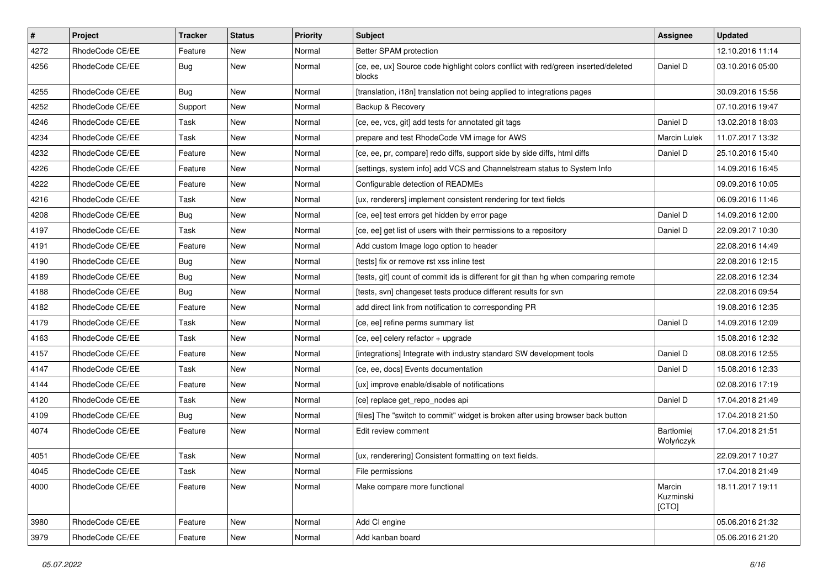| $\pmb{\#}$ | Project         | <b>Tracker</b> | <b>Status</b> | <b>Priority</b> | <b>Subject</b>                                                                               | <b>Assignee</b>              | <b>Updated</b>   |
|------------|-----------------|----------------|---------------|-----------------|----------------------------------------------------------------------------------------------|------------------------------|------------------|
| 4272       | RhodeCode CE/EE | Feature        | New           | Normal          | Better SPAM protection                                                                       |                              | 12.10.2016 11:14 |
| 4256       | RhodeCode CE/EE | Bug            | New           | Normal          | [ce, ee, ux] Source code highlight colors conflict with red/green inserted/deleted<br>blocks | Daniel D                     | 03.10.2016 05:00 |
| 4255       | RhodeCode CE/EE | Bug            | New           | Normal          | [translation, i18n] translation not being applied to integrations pages                      |                              | 30.09.2016 15:56 |
| 4252       | RhodeCode CE/EE | Support        | <b>New</b>    | Normal          | Backup & Recovery                                                                            |                              | 07.10.2016 19:47 |
| 4246       | RhodeCode CE/EE | Task           | New           | Normal          | [ce, ee, vcs, git] add tests for annotated git tags                                          | Daniel D                     | 13.02.2018 18:03 |
| 4234       | RhodeCode CE/EE | Task           | New           | Normal          | prepare and test RhodeCode VM image for AWS                                                  | <b>Marcin Lulek</b>          | 11.07.2017 13:32 |
| 4232       | RhodeCode CE/EE | Feature        | New           | Normal          | [ce, ee, pr, compare] redo diffs, support side by side diffs, html diffs                     | Daniel D                     | 25.10.2016 15:40 |
| 4226       | RhodeCode CE/EE | Feature        | New           | Normal          | [settings, system info] add VCS and Channelstream status to System Info                      |                              | 14.09.2016 16:45 |
| 4222       | RhodeCode CE/EE | Feature        | <b>New</b>    | Normal          | Configurable detection of READMEs                                                            |                              | 09.09.2016 10:05 |
| 4216       | RhodeCode CE/EE | Task           | New           | Normal          | [ux, renderers] implement consistent rendering for text fields                               |                              | 06.09.2016 11:46 |
| 4208       | RhodeCode CE/EE | Bug            | New           | Normal          | [ce, ee] test errors get hidden by error page                                                | Daniel D                     | 14.09.2016 12:00 |
| 4197       | RhodeCode CE/EE | Task           | New           | Normal          | [ce, ee] get list of users with their permissions to a repository                            | Daniel D                     | 22.09.2017 10:30 |
| 4191       | RhodeCode CE/EE | Feature        | New           | Normal          | Add custom Image logo option to header                                                       |                              | 22.08.2016 14:49 |
| 4190       | RhodeCode CE/EE | Bug            | <b>New</b>    | Normal          | [tests] fix or remove rst xss inline test                                                    |                              | 22.08.2016 12:15 |
| 4189       | RhodeCode CE/EE | Bug            | New           | Normal          | [tests, git] count of commit ids is different for git than hg when comparing remote          |                              | 22.08.2016 12:34 |
| 4188       | RhodeCode CE/EE | Bug            | New           | Normal          | [tests, svn] changeset tests produce different results for svn                               |                              | 22.08.2016 09:54 |
| 4182       | RhodeCode CE/EE | Feature        | New           | Normal          | add direct link from notification to corresponding PR                                        |                              | 19.08.2016 12:35 |
| 4179       | RhodeCode CE/EE | Task           | New           | Normal          | [ce, ee] refine perms summary list                                                           | Daniel D                     | 14.09.2016 12:09 |
| 4163       | RhodeCode CE/EE | Task           | New           | Normal          | [ce, ee] celery refactor + upgrade                                                           |                              | 15.08.2016 12:32 |
| 4157       | RhodeCode CE/EE | Feature        | New           | Normal          | [integrations] Integrate with industry standard SW development tools                         | Daniel D                     | 08.08.2016 12:55 |
| 4147       | RhodeCode CE/EE | Task           | New           | Normal          | [ce, ee, docs] Events documentation                                                          | Daniel D                     | 15.08.2016 12:33 |
| 4144       | RhodeCode CE/EE | Feature        | <b>New</b>    | Normal          | [ux] improve enable/disable of notifications                                                 |                              | 02.08.2016 17:19 |
| 4120       | RhodeCode CE/EE | Task           | New           | Normal          | [ce] replace get_repo_nodes api                                                              | Daniel D                     | 17.04.2018 21:49 |
| 4109       | RhodeCode CE/EE | Bug            | New           | Normal          | [files] The "switch to commit" widget is broken after using browser back button              |                              | 17.04.2018 21:50 |
| 4074       | RhodeCode CE/EE | Feature        | New           | Normal          | Edit review comment                                                                          | Bartłomiej<br>Wołyńczyk      | 17.04.2018 21:51 |
| 4051       | RhodeCode CE/EE | Task           | New           | Normal          | [ux, renderering] Consistent formatting on text fields.                                      |                              | 22.09.2017 10:27 |
| 4045       | RhodeCode CE/EE | Task           | New           | Normal          | File permissions                                                                             |                              | 17.04.2018 21:49 |
| 4000       | RhodeCode CE/EE | Feature        | <b>New</b>    | Normal          | Make compare more functional                                                                 | Marcin<br>Kuzminski<br>[CTO] | 18.11.2017 19:11 |
| 3980       | RhodeCode CE/EE | Feature        | <b>New</b>    | Normal          | Add CI engine                                                                                |                              | 05.06.2016 21:32 |
| 3979       | RhodeCode CE/EE | Feature        | New           | Normal          | Add kanban board                                                                             |                              | 05.06.2016 21:20 |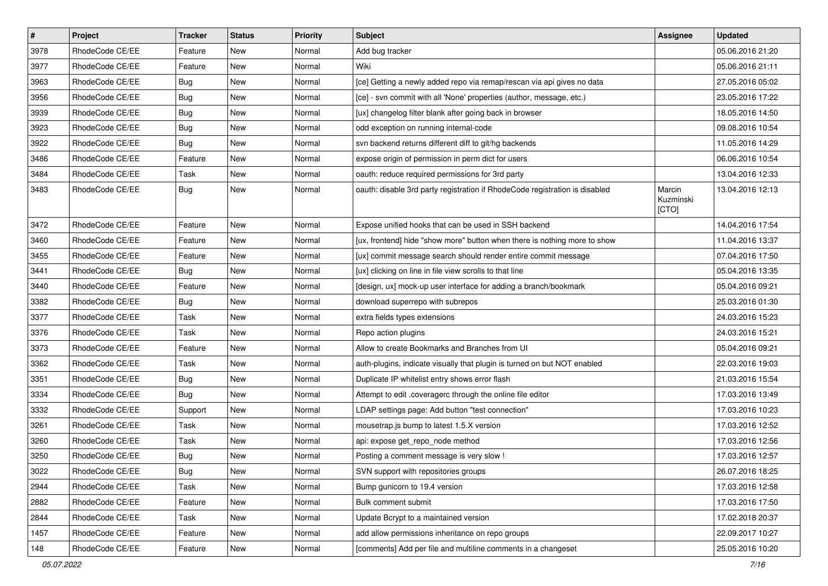| $\pmb{\#}$ | Project         | <b>Tracker</b> | <b>Status</b> | Priority | <b>Subject</b>                                                              | <b>Assignee</b>              | <b>Updated</b>   |
|------------|-----------------|----------------|---------------|----------|-----------------------------------------------------------------------------|------------------------------|------------------|
| 3978       | RhodeCode CE/EE | Feature        | New           | Normal   | Add bug tracker                                                             |                              | 05.06.2016 21:20 |
| 3977       | RhodeCode CE/EE | Feature        | <b>New</b>    | Normal   | Wiki                                                                        |                              | 05.06.2016 21:11 |
| 3963       | RhodeCode CE/EE | Bug            | New           | Normal   | [ce] Getting a newly added repo via remap/rescan via api gives no data      |                              | 27.05.2016 05:02 |
| 3956       | RhodeCode CE/EE | <b>Bug</b>     | New           | Normal   | [ce] - svn commit with all 'None' properties (author, message, etc.)        |                              | 23.05.2016 17:22 |
| 3939       | RhodeCode CE/EE | Bug            | <b>New</b>    | Normal   | [ux] changelog filter blank after going back in browser                     |                              | 18.05.2016 14:50 |
| 3923       | RhodeCode CE/EE | <b>Bug</b>     | New           | Normal   | odd exception on running internal-code                                      |                              | 09.08.2016 10:54 |
| 3922       | RhodeCode CE/EE | Bug            | New           | Normal   | svn backend returns different diff to git/hg backends                       |                              | 11.05.2016 14:29 |
| 3486       | RhodeCode CE/EE | Feature        | <b>New</b>    | Normal   | expose origin of permission in perm dict for users                          |                              | 06.06.2016 10:54 |
| 3484       | RhodeCode CE/EE | Task           | <b>New</b>    | Normal   | oauth: reduce required permissions for 3rd party                            |                              | 13.04.2016 12:33 |
| 3483       | RhodeCode CE/EE | Bug            | <b>New</b>    | Normal   | oauth: disable 3rd party registration if RhodeCode registration is disabled | Marcin<br>Kuzminski<br>[CTO] | 13.04.2016 12:13 |
| 3472       | RhodeCode CE/EE | Feature        | <b>New</b>    | Normal   | Expose unified hooks that can be used in SSH backend                        |                              | 14.04.2016 17:54 |
| 3460       | RhodeCode CE/EE | Feature        | New           | Normal   | [ux, frontend] hide "show more" button when there is nothing more to show   |                              | 11.04.2016 13:37 |
| 3455       | RhodeCode CE/EE | Feature        | New           | Normal   | [ux] commit message search should render entire commit message              |                              | 07.04.2016 17:50 |
| 3441       | RhodeCode CE/EE | Bug            | <b>New</b>    | Normal   | [ux] clicking on line in file view scrolls to that line                     |                              | 05.04.2016 13:35 |
| 3440       | RhodeCode CE/EE | Feature        | <b>New</b>    | Normal   | [design, ux] mock-up user interface for adding a branch/bookmark            |                              | 05.04.2016 09:21 |
| 3382       | RhodeCode CE/EE | Bug            | <b>New</b>    | Normal   | download superrepo with subrepos                                            |                              | 25.03.2016 01:30 |
| 3377       | RhodeCode CE/EE | Task           | New           | Normal   | extra fields types extensions                                               |                              | 24.03.2016 15:23 |
| 3376       | RhodeCode CE/EE | Task           | New           | Normal   | Repo action plugins                                                         |                              | 24.03.2016 15:21 |
| 3373       | RhodeCode CE/EE | Feature        | <b>New</b>    | Normal   | Allow to create Bookmarks and Branches from UI                              |                              | 05.04.2016 09:21 |
| 3362       | RhodeCode CE/EE | Task           | New           | Normal   | auth-plugins, indicate visually that plugin is turned on but NOT enabled    |                              | 22.03.2016 19:03 |
| 3351       | RhodeCode CE/EE | Bug            | New           | Normal   | Duplicate IP whitelist entry shows error flash                              |                              | 21.03.2016 15:54 |
| 3334       | RhodeCode CE/EE | Bug            | New           | Normal   | Attempt to edit .coveragerc through the online file editor                  |                              | 17.03.2016 13:49 |
| 3332       | RhodeCode CE/EE | Support        | <b>New</b>    | Normal   | LDAP settings page: Add button "test connection"                            |                              | 17.03.2016 10:23 |
| 3261       | RhodeCode CE/EE | Task           | <b>New</b>    | Normal   | mousetrap.js bump to latest 1.5.X version                                   |                              | 17.03.2016 12:52 |
| 3260       | RhodeCode CE/EE | Task           | New           | Normal   | api: expose get_repo_node method                                            |                              | 17.03.2016 12:56 |
| 3250       | RhodeCode CE/EE | Bug            | New           | Normal   | Posting a comment message is very slow !                                    |                              | 17.03.2016 12:57 |
| 3022       | RhodeCode CE/EE | <b>Bug</b>     | New           | Normal   | SVN support with repositories groups                                        |                              | 26.07.2016 18:25 |
| 2944       | RhodeCode CE/EE | Task           | New           | Normal   | Bump gunicorn to 19.4 version                                               |                              | 17.03.2016 12:58 |
| 2882       | RhodeCode CE/EE | Feature        | New           | Normal   | Bulk comment submit                                                         |                              | 17.03.2016 17:50 |
| 2844       | RhodeCode CE/EE | Task           | New           | Normal   | Update Bcrypt to a maintained version                                       |                              | 17.02.2018 20:37 |
| 1457       | RhodeCode CE/EE | Feature        | New           | Normal   | add allow permissions inheritance on repo groups                            |                              | 22.09.2017 10:27 |
| 148        | RhodeCode CE/EE | Feature        | New           | Normal   | [comments] Add per file and multiline comments in a changeset               |                              | 25.05.2016 10:20 |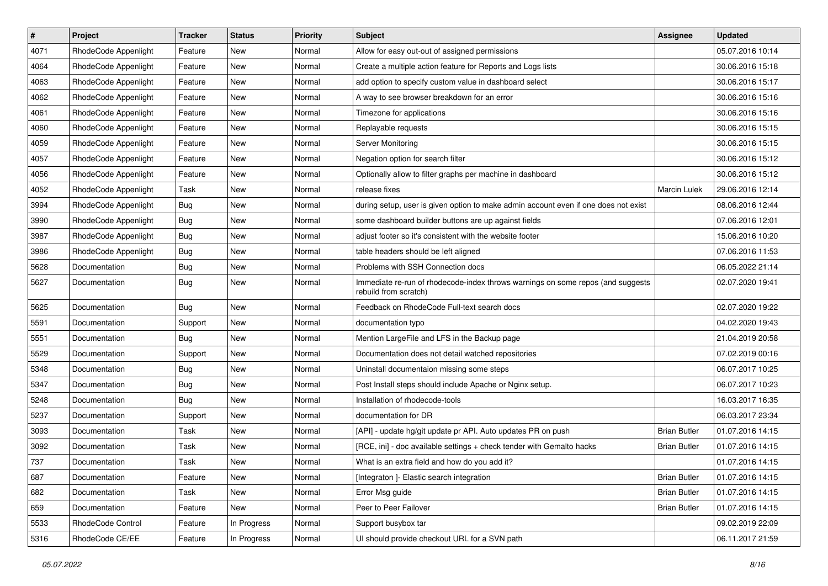| $\vert$ # | Project              | <b>Tracker</b> | <b>Status</b> | Priority | <b>Subject</b>                                                                                           | Assignee            | <b>Updated</b>   |
|-----------|----------------------|----------------|---------------|----------|----------------------------------------------------------------------------------------------------------|---------------------|------------------|
| 4071      | RhodeCode Appenlight | Feature        | New           | Normal   | Allow for easy out-out of assigned permissions                                                           |                     | 05.07.2016 10:14 |
| 4064      | RhodeCode Appenlight | Feature        | <b>New</b>    | Normal   | Create a multiple action feature for Reports and Logs lists                                              |                     | 30.06.2016 15:18 |
| 4063      | RhodeCode Appenlight | Feature        | New           | Normal   | add option to specify custom value in dashboard select                                                   |                     | 30.06.2016 15:17 |
| 4062      | RhodeCode Appenlight | Feature        | New           | Normal   | A way to see browser breakdown for an error                                                              |                     | 30.06.2016 15:16 |
| 4061      | RhodeCode Appenlight | Feature        | <b>New</b>    | Normal   | Timezone for applications                                                                                |                     | 30.06.2016 15:16 |
| 4060      | RhodeCode Appenlight | Feature        | New           | Normal   | Replayable requests                                                                                      |                     | 30.06.2016 15:15 |
| 4059      | RhodeCode Appenlight | Feature        | New           | Normal   | Server Monitoring                                                                                        |                     | 30.06.2016 15:15 |
| 4057      | RhodeCode Appenlight | Feature        | New           | Normal   | Negation option for search filter                                                                        |                     | 30.06.2016 15:12 |
| 4056      | RhodeCode Appenlight | Feature        | New           | Normal   | Optionally allow to filter graphs per machine in dashboard                                               |                     | 30.06.2016 15:12 |
| 4052      | RhodeCode Appenlight | Task           | New           | Normal   | release fixes                                                                                            | Marcin Lulek        | 29.06.2016 12:14 |
| 3994      | RhodeCode Appenlight | Bug            | New           | Normal   | during setup, user is given option to make admin account even if one does not exist                      |                     | 08.06.2016 12:44 |
| 3990      | RhodeCode Appenlight | Bug            | New           | Normal   | some dashboard builder buttons are up against fields                                                     |                     | 07.06.2016 12:01 |
| 3987      | RhodeCode Appenlight | Bug            | New           | Normal   | adjust footer so it's consistent with the website footer                                                 |                     | 15.06.2016 10:20 |
| 3986      | RhodeCode Appenlight | <b>Bug</b>     | New           | Normal   | table headers should be left aligned                                                                     |                     | 07.06.2016 11:53 |
| 5628      | Documentation        | <b>Bug</b>     | New           | Normal   | Problems with SSH Connection docs                                                                        |                     | 06.05.2022 21:14 |
| 5627      | Documentation        | Bug            | New           | Normal   | Immediate re-run of rhodecode-index throws warnings on some repos (and suggests<br>rebuild from scratch) |                     | 02.07.2020 19:41 |
| 5625      | Documentation        | Bug            | <b>New</b>    | Normal   | Feedback on RhodeCode Full-text search docs                                                              |                     | 02.07.2020 19:22 |
| 5591      | Documentation        | Support        | New           | Normal   | documentation typo                                                                                       |                     | 04.02.2020 19:43 |
| 5551      | Documentation        | Bug            | New           | Normal   | Mention LargeFile and LFS in the Backup page                                                             |                     | 21.04.2019 20:58 |
| 5529      | Documentation        | Support        | New           | Normal   | Documentation does not detail watched repositories                                                       |                     | 07.02.2019 00:16 |
| 5348      | Documentation        | <b>Bug</b>     | New           | Normal   | Uninstall documentaion missing some steps                                                                |                     | 06.07.2017 10:25 |
| 5347      | Documentation        | <b>Bug</b>     | New           | Normal   | Post Install steps should include Apache or Nginx setup.                                                 |                     | 06.07.2017 10:23 |
| 5248      | Documentation        | Bug            | New           | Normal   | Installation of rhodecode-tools                                                                          |                     | 16.03.2017 16:35 |
| 5237      | Documentation        | Support        | New           | Normal   | documentation for DR                                                                                     |                     | 06.03.2017 23:34 |
| 3093      | Documentation        | Task           | New           | Normal   | [API] - update hg/git update pr API. Auto updates PR on push                                             | <b>Brian Butler</b> | 01.07.2016 14:15 |
| 3092      | Documentation        | Task           | New           | Normal   | [RCE, ini] - doc available settings + check tender with Gemalto hacks                                    | <b>Brian Butler</b> | 01.07.2016 14:15 |
| 737       | Documentation        | Task           | New           | Normal   | What is an extra field and how do you add it?                                                            |                     | 01.07.2016 14:15 |
| 687       | Documentation        | Feature        | New           | Normal   | [Integraton ]- Elastic search integration                                                                | <b>Brian Butler</b> | 01.07.2016 14:15 |
| 682       | Documentation        | Task           | New           | Normal   | Error Msg guide                                                                                          | <b>Brian Butler</b> | 01.07.2016 14:15 |
| 659       | Documentation        | Feature        | New           | Normal   | Peer to Peer Failover                                                                                    | <b>Brian Butler</b> | 01.07.2016 14:15 |
| 5533      | RhodeCode Control    | Feature        | In Progress   | Normal   | Support busybox tar                                                                                      |                     | 09.02.2019 22:09 |
| 5316      | RhodeCode CE/EE      | Feature        | In Progress   | Normal   | UI should provide checkout URL for a SVN path                                                            |                     | 06.11.2017 21:59 |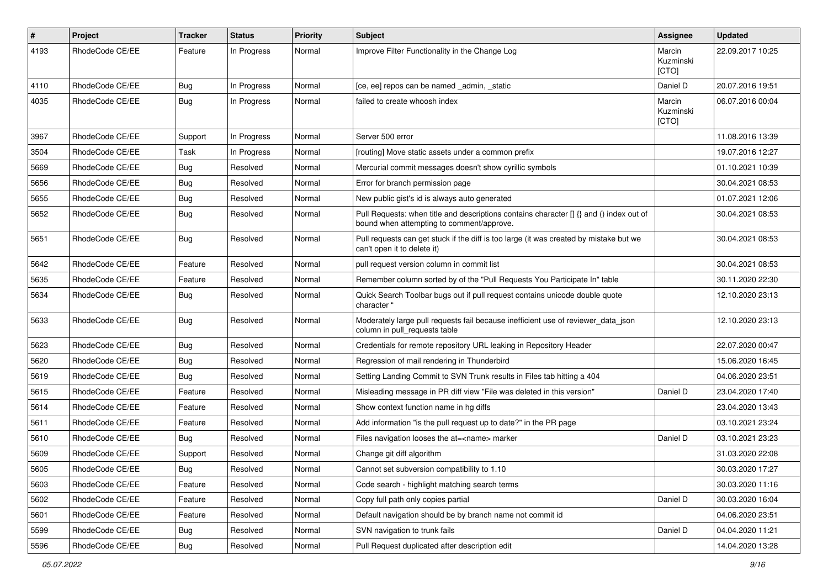| $\pmb{\#}$ | Project         | <b>Tracker</b> | <b>Status</b> | <b>Priority</b> | <b>Subject</b>                                                                                                                       | Assignee                     | <b>Updated</b>   |
|------------|-----------------|----------------|---------------|-----------------|--------------------------------------------------------------------------------------------------------------------------------------|------------------------------|------------------|
| 4193       | RhodeCode CE/EE | Feature        | In Progress   | Normal          | Improve Filter Functionality in the Change Log                                                                                       | Marcin<br>Kuzminski<br>[CTO] | 22.09.2017 10:25 |
| 4110       | RhodeCode CE/EE | Bug            | In Progress   | Normal          | [ce, ee] repos can be named _admin, _static                                                                                          | Daniel D                     | 20.07.2016 19:51 |
| 4035       | RhodeCode CE/EE | Bug            | In Progress   | Normal          | failed to create whoosh index                                                                                                        | Marcin<br>Kuzminski<br>[CTO] | 06.07.2016 00:04 |
| 3967       | RhodeCode CE/EE | Support        | In Progress   | Normal          | Server 500 error                                                                                                                     |                              | 11.08.2016 13:39 |
| 3504       | RhodeCode CE/EE | Task           | In Progress   | Normal          | [routing] Move static assets under a common prefix                                                                                   |                              | 19.07.2016 12:27 |
| 5669       | RhodeCode CE/EE | Bug            | Resolved      | Normal          | Mercurial commit messages doesn't show cyrillic symbols                                                                              |                              | 01.10.2021 10:39 |
| 5656       | RhodeCode CE/EE | <b>Bug</b>     | Resolved      | Normal          | Error for branch permission page                                                                                                     |                              | 30.04.2021 08:53 |
| 5655       | RhodeCode CE/EE | Bug            | Resolved      | Normal          | New public gist's id is always auto generated                                                                                        |                              | 01.07.2021 12:06 |
| 5652       | RhodeCode CE/EE | Bug            | Resolved      | Normal          | Pull Requests: when title and descriptions contains character [] {} and () index out of<br>bound when attempting to comment/approve. |                              | 30.04.2021 08:53 |
| 5651       | RhodeCode CE/EE | Bug            | Resolved      | Normal          | Pull requests can get stuck if the diff is too large (it was created by mistake but we<br>can't open it to delete it)                |                              | 30.04.2021 08:53 |
| 5642       | RhodeCode CE/EE | Feature        | Resolved      | Normal          | pull request version column in commit list                                                                                           |                              | 30.04.2021 08:53 |
| 5635       | RhodeCode CE/EE | Feature        | Resolved      | Normal          | Remember column sorted by of the "Pull Requests You Participate In" table                                                            |                              | 30.11.2020 22:30 |
| 5634       | RhodeCode CE/EE | Bug            | Resolved      | Normal          | Quick Search Toolbar bugs out if pull request contains unicode double quote<br>character "                                           |                              | 12.10.2020 23:13 |
| 5633       | RhodeCode CE/EE | Bug            | Resolved      | Normal          | Moderately large pull requests fail because inefficient use of reviewer_data_json<br>column in pull requests table                   |                              | 12.10.2020 23:13 |
| 5623       | RhodeCode CE/EE | Bug            | Resolved      | Normal          | Credentials for remote repository URL leaking in Repository Header                                                                   |                              | 22.07.2020 00:47 |
| 5620       | RhodeCode CE/EE | Bug            | Resolved      | Normal          | Regression of mail rendering in Thunderbird                                                                                          |                              | 15.06.2020 16:45 |
| 5619       | RhodeCode CE/EE | Bug            | Resolved      | Normal          | Setting Landing Commit to SVN Trunk results in Files tab hitting a 404                                                               |                              | 04.06.2020 23:51 |
| 5615       | RhodeCode CE/EE | Feature        | Resolved      | Normal          | Misleading message in PR diff view "File was deleted in this version"                                                                | Daniel D                     | 23.04.2020 17:40 |
| 5614       | RhodeCode CE/EE | Feature        | Resolved      | Normal          | Show context function name in hg diffs                                                                                               |                              | 23.04.2020 13:43 |
| 5611       | RhodeCode CE/EE | Feature        | Resolved      | Normal          | Add information "is the pull request up to date?" in the PR page                                                                     |                              | 03.10.2021 23:24 |
| 5610       | RhodeCode CE/EE | Bug            | Resolved      | Normal          | Files navigation looses the at= <name> marker</name>                                                                                 | Daniel D                     | 03.10.2021 23:23 |
| 5609       | RhodeCode CE/EE | Support        | Resolved      | Normal          | Change git diff algorithm                                                                                                            |                              | 31.03.2020 22:08 |
| 5605       | RhodeCode CE/EE | <b>Bug</b>     | Resolved      | Normal          | Cannot set subversion compatibility to 1.10                                                                                          |                              | 30.03.2020 17:27 |
| 5603       | RhodeCode CE/EE | Feature        | Resolved      | Normal          | Code search - highlight matching search terms                                                                                        |                              | 30.03.2020 11:16 |
| 5602       | RhodeCode CE/EE | Feature        | Resolved      | Normal          | Copy full path only copies partial                                                                                                   | Daniel D                     | 30.03.2020 16:04 |
| 5601       | RhodeCode CE/EE | Feature        | Resolved      | Normal          | Default navigation should be by branch name not commit id                                                                            |                              | 04.06.2020 23:51 |
| 5599       | RhodeCode CE/EE | Bug            | Resolved      | Normal          | SVN navigation to trunk fails                                                                                                        | Daniel D                     | 04.04.2020 11:21 |
| 5596       | RhodeCode CE/EE | <b>Bug</b>     | Resolved      | Normal          | Pull Request duplicated after description edit                                                                                       |                              | 14.04.2020 13:28 |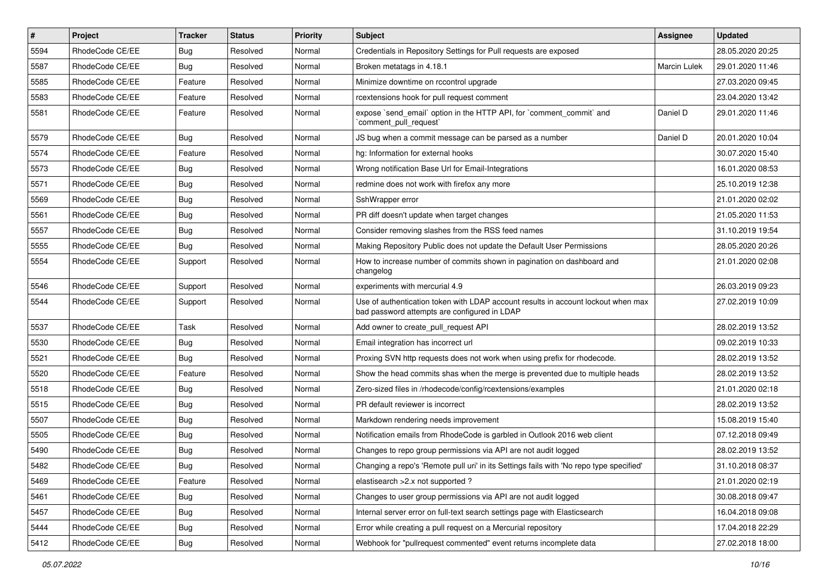| $\pmb{\#}$ | <b>Project</b>  | <b>Tracker</b> | <b>Status</b> | <b>Priority</b> | <b>Subject</b>                                                                                                                    | Assignee            | <b>Updated</b>   |
|------------|-----------------|----------------|---------------|-----------------|-----------------------------------------------------------------------------------------------------------------------------------|---------------------|------------------|
| 5594       | RhodeCode CE/EE | <b>Bug</b>     | Resolved      | Normal          | Credentials in Repository Settings for Pull requests are exposed                                                                  |                     | 28.05.2020 20:25 |
| 5587       | RhodeCode CE/EE | Bug            | Resolved      | Normal          | Broken metatags in 4.18.1                                                                                                         | <b>Marcin Lulek</b> | 29.01.2020 11:46 |
| 5585       | RhodeCode CE/EE | Feature        | Resolved      | Normal          | Minimize downtime on rccontrol upgrade                                                                                            |                     | 27.03.2020 09:45 |
| 5583       | RhodeCode CE/EE | Feature        | Resolved      | Normal          | rcextensions hook for pull request comment                                                                                        |                     | 23.04.2020 13:42 |
| 5581       | RhodeCode CE/EE | Feature        | Resolved      | Normal          | expose `send_email` option in the HTTP API, for `comment_commit` and<br>`comment_pull_request`                                    | Daniel D            | 29.01.2020 11:46 |
| 5579       | RhodeCode CE/EE | Bug            | Resolved      | Normal          | JS bug when a commit message can be parsed as a number                                                                            | Daniel D            | 20.01.2020 10:04 |
| 5574       | RhodeCode CE/EE | Feature        | Resolved      | Normal          | hg: Information for external hooks                                                                                                |                     | 30.07.2020 15:40 |
| 5573       | RhodeCode CE/EE | <b>Bug</b>     | Resolved      | Normal          | Wrong notification Base Url for Email-Integrations                                                                                |                     | 16.01.2020 08:53 |
| 5571       | RhodeCode CE/EE | Bug            | Resolved      | Normal          | redmine does not work with firefox any more                                                                                       |                     | 25.10.2019 12:38 |
| 5569       | RhodeCode CE/EE | Bug            | Resolved      | Normal          | SshWrapper error                                                                                                                  |                     | 21.01.2020 02:02 |
| 5561       | RhodeCode CE/EE | <b>Bug</b>     | Resolved      | Normal          | PR diff doesn't update when target changes                                                                                        |                     | 21.05.2020 11:53 |
| 5557       | RhodeCode CE/EE | Bug            | Resolved      | Normal          | Consider removing slashes from the RSS feed names                                                                                 |                     | 31.10.2019 19:54 |
| 5555       | RhodeCode CE/EE | Bug            | Resolved      | Normal          | Making Repository Public does not update the Default User Permissions                                                             |                     | 28.05.2020 20:26 |
| 5554       | RhodeCode CE/EE | Support        | Resolved      | Normal          | How to increase number of commits shown in pagination on dashboard and<br>changelog                                               |                     | 21.01.2020 02:08 |
| 5546       | RhodeCode CE/EE | Support        | Resolved      | Normal          | experiments with mercurial 4.9                                                                                                    |                     | 26.03.2019 09:23 |
| 5544       | RhodeCode CE/EE | Support        | Resolved      | Normal          | Use of authentication token with LDAP account results in account lockout when max<br>bad password attempts are configured in LDAP |                     | 27.02.2019 10:09 |
| 5537       | RhodeCode CE/EE | Task           | Resolved      | Normal          | Add owner to create pull request API                                                                                              |                     | 28.02.2019 13:52 |
| 5530       | RhodeCode CE/EE | Bug            | Resolved      | Normal          | Email integration has incorrect url                                                                                               |                     | 09.02.2019 10:33 |
| 5521       | RhodeCode CE/EE | Bug            | Resolved      | Normal          | Proxing SVN http requests does not work when using prefix for rhodecode.                                                          |                     | 28.02.2019 13:52 |
| 5520       | RhodeCode CE/EE | Feature        | Resolved      | Normal          | Show the head commits shas when the merge is prevented due to multiple heads                                                      |                     | 28.02.2019 13:52 |
| 5518       | RhodeCode CE/EE | <b>Bug</b>     | Resolved      | Normal          | Zero-sized files in /rhodecode/config/rcextensions/examples                                                                       |                     | 21.01.2020 02:18 |
| 5515       | RhodeCode CE/EE | <b>Bug</b>     | Resolved      | Normal          | PR default reviewer is incorrect                                                                                                  |                     | 28.02.2019 13:52 |
| 5507       | RhodeCode CE/EE | Bug            | Resolved      | Normal          | Markdown rendering needs improvement                                                                                              |                     | 15.08.2019 15:40 |
| 5505       | RhodeCode CE/EE | <b>Bug</b>     | Resolved      | Normal          | Notification emails from RhodeCode is garbled in Outlook 2016 web client                                                          |                     | 07.12.2018 09:49 |
| 5490       | RhodeCode CE/EE | <b>Bug</b>     | Resolved      | Normal          | Changes to repo group permissions via API are not audit logged                                                                    |                     | 28.02.2019 13:52 |
| 5482       | RhodeCode CE/EE | Bug            | Resolved      | Normal          | Changing a repo's 'Remote pull uri' in its Settings fails with 'No repo type specified'                                           |                     | 31.10.2018 08:37 |
| 5469       | RhodeCode CE/EE | Feature        | Resolved      | Normal          | elastisearch > 2.x not supported ?                                                                                                |                     | 21.01.2020 02:19 |
| 5461       | RhodeCode CE/EE | Bug            | Resolved      | Normal          | Changes to user group permissions via API are not audit logged                                                                    |                     | 30.08.2018 09:47 |
| 5457       | RhodeCode CE/EE | Bug            | Resolved      | Normal          | Internal server error on full-text search settings page with Elasticsearch                                                        |                     | 16.04.2018 09:08 |
| 5444       | RhodeCode CE/EE | Bug            | Resolved      | Normal          | Error while creating a pull request on a Mercurial repository                                                                     |                     | 17.04.2018 22:29 |
| 5412       | RhodeCode CE/EE | <b>Bug</b>     | Resolved      | Normal          | Webhook for "pullrequest commented" event returns incomplete data                                                                 |                     | 27.02.2018 18:00 |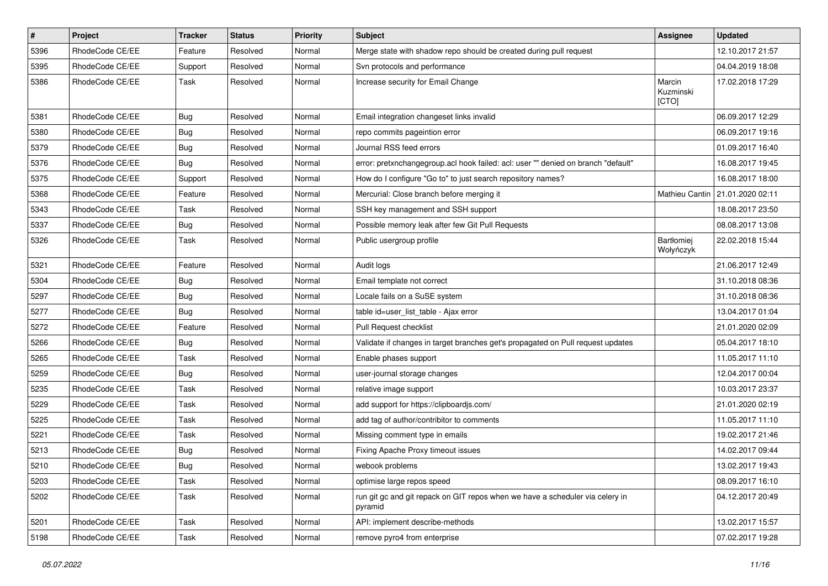| $\pmb{\#}$ | Project         | <b>Tracker</b> | <b>Status</b> | Priority | Subject                                                                                  | Assignee                     | <b>Updated</b>   |
|------------|-----------------|----------------|---------------|----------|------------------------------------------------------------------------------------------|------------------------------|------------------|
| 5396       | RhodeCode CE/EE | Feature        | Resolved      | Normal   | Merge state with shadow repo should be created during pull request                       |                              | 12.10.2017 21:57 |
| 5395       | RhodeCode CE/EE | Support        | Resolved      | Normal   | Svn protocols and performance                                                            |                              | 04.04.2019 18:08 |
| 5386       | RhodeCode CE/EE | Task           | Resolved      | Normal   | Increase security for Email Change                                                       | Marcin<br>Kuzminski<br>[CTO] | 17.02.2018 17:29 |
| 5381       | RhodeCode CE/EE | Bug            | Resolved      | Normal   | Email integration changeset links invalid                                                |                              | 06.09.2017 12:29 |
| 5380       | RhodeCode CE/EE | <b>Bug</b>     | Resolved      | Normal   | repo commits pageintion error                                                            |                              | 06.09.2017 19:16 |
| 5379       | RhodeCode CE/EE | Bug            | Resolved      | Normal   | Journal RSS feed errors                                                                  |                              | 01.09.2017 16:40 |
| 5376       | RhodeCode CE/EE | Bug            | Resolved      | Normal   | error: pretxnchangegroup.acl hook failed: acl: user "" denied on branch "default"        |                              | 16.08.2017 19:45 |
| 5375       | RhodeCode CE/EE | Support        | Resolved      | Normal   | How do I configure "Go to" to just search repository names?                              |                              | 16.08.2017 18:00 |
| 5368       | RhodeCode CE/EE | Feature        | Resolved      | Normal   | Mercurial: Close branch before merging it                                                | Mathieu Cantin               | 21.01.2020 02:11 |
| 5343       | RhodeCode CE/EE | Task           | Resolved      | Normal   | SSH key management and SSH support                                                       |                              | 18.08.2017 23:50 |
| 5337       | RhodeCode CE/EE | Bug            | Resolved      | Normal   | Possible memory leak after few Git Pull Requests                                         |                              | 08.08.2017 13:08 |
| 5326       | RhodeCode CE/EE | Task           | Resolved      | Normal   | Public usergroup profile                                                                 | Bartłomiej<br>Wołyńczyk      | 22.02.2018 15:44 |
| 5321       | RhodeCode CE/EE | Feature        | Resolved      | Normal   | Audit logs                                                                               |                              | 21.06.2017 12:49 |
| 5304       | RhodeCode CE/EE | Bug            | Resolved      | Normal   | Email template not correct                                                               |                              | 31.10.2018 08:36 |
| 5297       | RhodeCode CE/EE | Bug            | Resolved      | Normal   | Locale fails on a SuSE system                                                            |                              | 31.10.2018 08:36 |
| 5277       | RhodeCode CE/EE | Bug            | Resolved      | Normal   | table id=user_list_table - Ajax error                                                    |                              | 13.04.2017 01:04 |
| 5272       | RhodeCode CE/EE | Feature        | Resolved      | Normal   | Pull Request checklist                                                                   |                              | 21.01.2020 02:09 |
| 5266       | RhodeCode CE/EE | Bug            | Resolved      | Normal   | Validate if changes in target branches get's propagated on Pull request updates          |                              | 05.04.2017 18:10 |
| 5265       | RhodeCode CE/EE | Task           | Resolved      | Normal   | Enable phases support                                                                    |                              | 11.05.2017 11:10 |
| 5259       | RhodeCode CE/EE | Bug            | Resolved      | Normal   | user-journal storage changes                                                             |                              | 12.04.2017 00:04 |
| 5235       | RhodeCode CE/EE | Task           | Resolved      | Normal   | relative image support                                                                   |                              | 10.03.2017 23:37 |
| 5229       | RhodeCode CE/EE | Task           | Resolved      | Normal   | add support for https://clipboardjs.com/                                                 |                              | 21.01.2020 02:19 |
| 5225       | RhodeCode CE/EE | Task           | Resolved      | Normal   | add tag of author/contribitor to comments                                                |                              | 11.05.2017 11:10 |
| 5221       | RhodeCode CE/EE | Task           | Resolved      | Normal   | Missing comment type in emails                                                           |                              | 19.02.2017 21:46 |
| 5213       | RhodeCode CE/EE | Bug            | Resolved      | Normal   | Fixing Apache Proxy timeout issues                                                       |                              | 14.02.2017 09:44 |
| 5210       | RhodeCode CE/EE | Bug            | Resolved      | Normal   | webook problems                                                                          |                              | 13.02.2017 19:43 |
| 5203       | RhodeCode CE/EE | Task           | Resolved      | Normal   | optimise large repos speed                                                               |                              | 08.09.2017 16:10 |
| 5202       | RhodeCode CE/EE | Task           | Resolved      | Normal   | run git gc and git repack on GIT repos when we have a scheduler via celery in<br>pyramid |                              | 04.12.2017 20:49 |
| 5201       | RhodeCode CE/EE | Task           | Resolved      | Normal   | API: implement describe-methods                                                          |                              | 13.02.2017 15:57 |
| 5198       | RhodeCode CE/EE | Task           | Resolved      | Normal   | remove pyro4 from enterprise                                                             |                              | 07.02.2017 19:28 |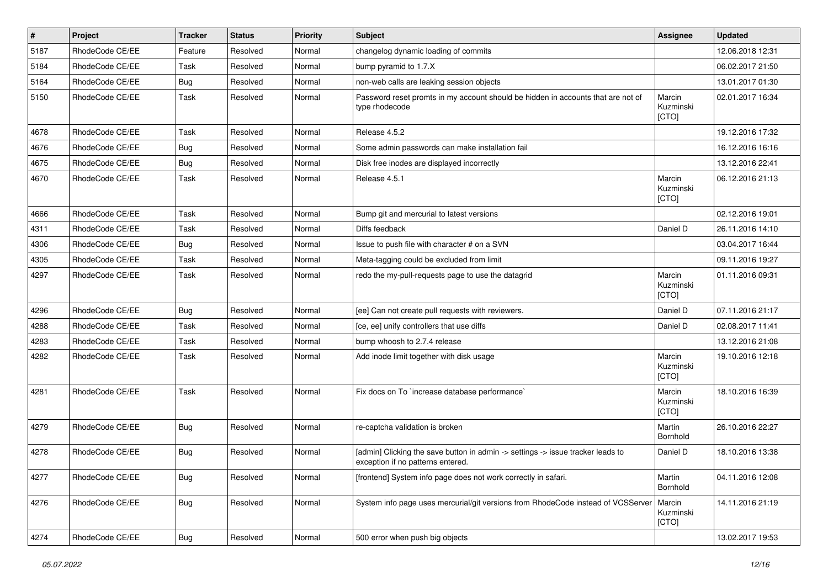| $\vert$ # | <b>Project</b>  | <b>Tracker</b> | <b>Status</b> | <b>Priority</b> | <b>Subject</b>                                                                                                       | Assignee                     | <b>Updated</b>   |
|-----------|-----------------|----------------|---------------|-----------------|----------------------------------------------------------------------------------------------------------------------|------------------------------|------------------|
| 5187      | RhodeCode CE/EE | Feature        | Resolved      | Normal          | changelog dynamic loading of commits                                                                                 |                              | 12.06.2018 12:31 |
| 5184      | RhodeCode CE/EE | Task           | Resolved      | Normal          | bump pyramid to 1.7.X                                                                                                |                              | 06.02.2017 21:50 |
| 5164      | RhodeCode CE/EE | Bug            | Resolved      | Normal          | non-web calls are leaking session objects                                                                            |                              | 13.01.2017 01:30 |
| 5150      | RhodeCode CE/EE | Task           | Resolved      | Normal          | Password reset promts in my account should be hidden in accounts that are not of<br>type rhodecode                   | Marcin<br>Kuzminski<br>[CTO] | 02.01.2017 16:34 |
| 4678      | RhodeCode CE/EE | Task           | Resolved      | Normal          | Release 4.5.2                                                                                                        |                              | 19.12.2016 17:32 |
| 4676      | RhodeCode CE/EE | Bug            | Resolved      | Normal          | Some admin passwords can make installation fail                                                                      |                              | 16.12.2016 16:16 |
| 4675      | RhodeCode CE/EE | Bug            | Resolved      | Normal          | Disk free inodes are displayed incorrectly                                                                           |                              | 13.12.2016 22:41 |
| 4670      | RhodeCode CE/EE | Task           | Resolved      | Normal          | Release 4.5.1                                                                                                        | Marcin<br>Kuzminski<br>[CTO] | 06.12.2016 21:13 |
| 4666      | RhodeCode CE/EE | Task           | Resolved      | Normal          | Bump git and mercurial to latest versions                                                                            |                              | 02.12.2016 19:01 |
| 4311      | RhodeCode CE/EE | Task           | Resolved      | Normal          | Diffs feedback                                                                                                       | Daniel D                     | 26.11.2016 14:10 |
| 4306      | RhodeCode CE/EE | Bug            | Resolved      | Normal          | Issue to push file with character # on a SVN                                                                         |                              | 03.04.2017 16:44 |
| 4305      | RhodeCode CE/EE | Task           | Resolved      | Normal          | Meta-tagging could be excluded from limit                                                                            |                              | 09.11.2016 19:27 |
| 4297      | RhodeCode CE/EE | Task           | Resolved      | Normal          | redo the my-pull-requests page to use the datagrid                                                                   | Marcin<br>Kuzminski<br>[CTO] | 01.11.2016 09:31 |
| 4296      | RhodeCode CE/EE | Bug            | Resolved      | Normal          | [ee] Can not create pull requests with reviewers.                                                                    | Daniel D                     | 07.11.2016 21:17 |
| 4288      | RhodeCode CE/EE | Task           | Resolved      | Normal          | [ce, ee] unify controllers that use diffs                                                                            | Daniel D                     | 02.08.2017 11:41 |
| 4283      | RhodeCode CE/EE | Task           | Resolved      | Normal          | bump whoosh to 2.7.4 release                                                                                         |                              | 13.12.2016 21:08 |
| 4282      | RhodeCode CE/EE | Task           | Resolved      | Normal          | Add inode limit together with disk usage                                                                             | Marcin<br>Kuzminski<br>[CTO] | 19.10.2016 12:18 |
| 4281      | RhodeCode CE/EE | Task           | Resolved      | Normal          | Fix docs on To `increase database performance`                                                                       | Marcin<br>Kuzminski<br>[CTO] | 18.10.2016 16:39 |
| 4279      | RhodeCode CE/EE | Bug            | Resolved      | Normal          | re-captcha validation is broken                                                                                      | Martin<br>Bornhold           | 26.10.2016 22:27 |
| 4278      | RhodeCode CE/EE | Bug            | Resolved      | Normal          | [admin] Clicking the save button in admin -> settings -> issue tracker leads to<br>exception if no patterns entered. | Daniel D                     | 18.10.2016 13:38 |
| 4277      | RhodeCode CE/EE | <b>Bug</b>     | Resolved      | Normal          | [frontend] System info page does not work correctly in safari.                                                       | Martin<br>Bornhold           | 04.11.2016 12:08 |
| 4276      | RhodeCode CE/EE | <b>Bug</b>     | Resolved      | Normal          | System info page uses mercurial/git versions from RhodeCode instead of VCSServer                                     | Marcin<br>Kuzminski<br>[CTO] | 14.11.2016 21:19 |
| 4274      | RhodeCode CE/EE | <b>Bug</b>     | Resolved      | Normal          | 500 error when push big objects                                                                                      |                              | 13.02.2017 19:53 |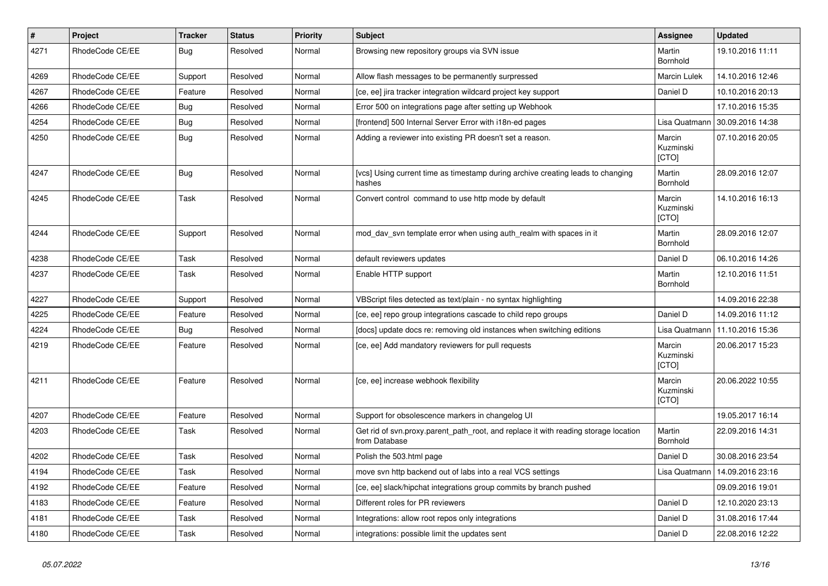| $\vert$ # | <b>Project</b>  | <b>Tracker</b> | <b>Status</b> | <b>Priority</b> | <b>Subject</b>                                                                                       | Assignee                     | <b>Updated</b>   |
|-----------|-----------------|----------------|---------------|-----------------|------------------------------------------------------------------------------------------------------|------------------------------|------------------|
| 4271      | RhodeCode CE/EE | Bug            | Resolved      | Normal          | Browsing new repository groups via SVN issue                                                         | Martin<br>Bornhold           | 19.10.2016 11:11 |
| 4269      | RhodeCode CE/EE | Support        | Resolved      | Normal          | Allow flash messages to be permanently surpressed                                                    | Marcin Lulek                 | 14.10.2016 12:46 |
| 4267      | RhodeCode CE/EE | Feature        | Resolved      | Normal          | [ce, ee] jira tracker integration wildcard project key support                                       | Daniel D                     | 10.10.2016 20:13 |
| 4266      | RhodeCode CE/EE | Bug            | Resolved      | Normal          | Error 500 on integrations page after setting up Webhook                                              |                              | 17.10.2016 15:35 |
| 4254      | RhodeCode CE/EE | Bug            | Resolved      | Normal          | [frontend] 500 Internal Server Error with i18n-ed pages                                              | Lisa Quatmann                | 30.09.2016 14:38 |
| 4250      | RhodeCode CE/EE | Bug            | Resolved      | Normal          | Adding a reviewer into existing PR doesn't set a reason.                                             | Marcin<br>Kuzminski<br>[CTO] | 07.10.2016 20:05 |
| 4247      | RhodeCode CE/EE | Bug            | Resolved      | Normal          | [vcs] Using current time as timestamp during archive creating leads to changing<br>hashes            | Martin<br>Bornhold           | 28.09.2016 12:07 |
| 4245      | RhodeCode CE/EE | Task           | Resolved      | Normal          | Convert control command to use http mode by default                                                  | Marcin<br>Kuzminski<br>[CTO] | 14.10.2016 16:13 |
| 4244      | RhodeCode CE/EE | Support        | Resolved      | Normal          | mod day syn template error when using auth realm with spaces in it                                   | Martin<br>Bornhold           | 28.09.2016 12:07 |
| 4238      | RhodeCode CE/EE | Task           | Resolved      | Normal          | default reviewers updates                                                                            | Daniel D                     | 06.10.2016 14:26 |
| 4237      | RhodeCode CE/EE | Task           | Resolved      | Normal          | Enable HTTP support                                                                                  | Martin<br>Bornhold           | 12.10.2016 11:51 |
| 4227      | RhodeCode CE/EE | Support        | Resolved      | Normal          | VBScript files detected as text/plain - no syntax highlighting                                       |                              | 14.09.2016 22:38 |
| 4225      | RhodeCode CE/EE | Feature        | Resolved      | Normal          | [ce, ee] repo group integrations cascade to child repo groups                                        | Daniel D                     | 14.09.2016 11:12 |
| 4224      | RhodeCode CE/EE | Bug            | Resolved      | Normal          | [docs] update docs re: removing old instances when switching editions                                | Lisa Quatmann                | 11.10.2016 15:36 |
| 4219      | RhodeCode CE/EE | Feature        | Resolved      | Normal          | [ce, ee] Add mandatory reviewers for pull requests                                                   | Marcin<br>Kuzminski<br>[CTO] | 20.06.2017 15:23 |
| 4211      | RhodeCode CE/EE | Feature        | Resolved      | Normal          | [ce, ee] increase webhook flexibility                                                                | Marcin<br>Kuzminski<br>[CTO] | 20.06.2022 10:55 |
| 4207      | RhodeCode CE/EE | Feature        | Resolved      | Normal          | Support for obsolescence markers in changelog UI                                                     |                              | 19.05.2017 16:14 |
| 4203      | RhodeCode CE/EE | Task           | Resolved      | Normal          | Get rid of svn.proxy.parent path root, and replace it with reading storage location<br>from Database | Martin<br>Bornhold           | 22.09.2016 14:31 |
| 4202      | RhodeCode CE/EE | Task           | Resolved      | Normal          | Polish the 503.html page                                                                             | Daniel D                     | 30.08.2016 23:54 |
| 4194      | RhodeCode CE/EE | Task           | Resolved      | Normal          | move syn http backend out of labs into a real VCS settings                                           | Lisa Quatmann                | 14.09.2016 23:16 |
| 4192      | RhodeCode CE/EE | Feature        | Resolved      | Normal          | [ce, ee] slack/hipchat integrations group commits by branch pushed                                   |                              | 09.09.2016 19:01 |
| 4183      | RhodeCode CE/EE | Feature        | Resolved      | Normal          | Different roles for PR reviewers                                                                     | Daniel D                     | 12.10.2020 23:13 |
| 4181      | RhodeCode CE/EE | Task           | Resolved      | Normal          | Integrations: allow root repos only integrations                                                     | Daniel D                     | 31.08.2016 17:44 |
| 4180      | RhodeCode CE/EE | Task           | Resolved      | Normal          | integrations: possible limit the updates sent                                                        | Daniel D                     | 22.08.2016 12:22 |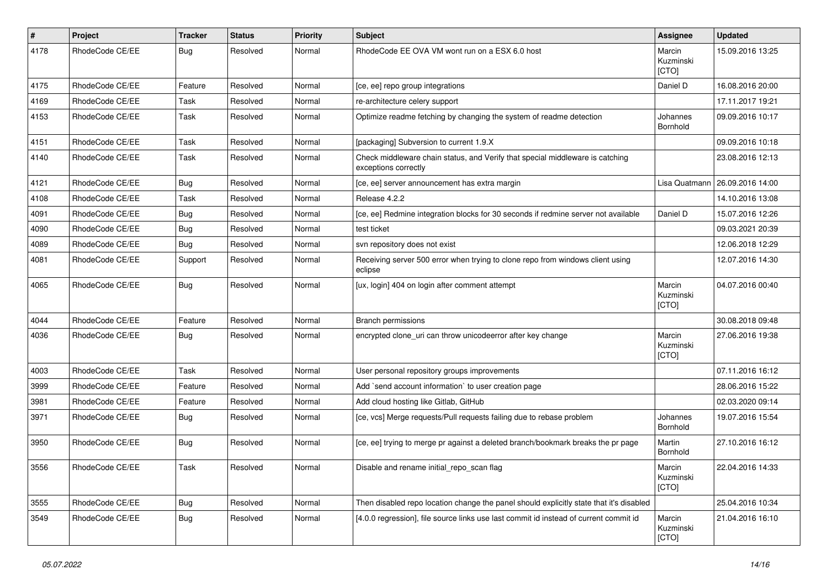| $\pmb{\#}$ | Project         | <b>Tracker</b> | <b>Status</b> | <b>Priority</b> | <b>Subject</b>                                                                                        | <b>Assignee</b>              | <b>Updated</b>   |
|------------|-----------------|----------------|---------------|-----------------|-------------------------------------------------------------------------------------------------------|------------------------------|------------------|
| 4178       | RhodeCode CE/EE | Bug            | Resolved      | Normal          | RhodeCode EE OVA VM wont run on a ESX 6.0 host                                                        | Marcin<br>Kuzminski<br>[CTO] | 15.09.2016 13:25 |
| 4175       | RhodeCode CE/EE | Feature        | Resolved      | Normal          | [ce, ee] repo group integrations                                                                      | Daniel D                     | 16.08.2016 20:00 |
| 4169       | RhodeCode CE/EE | Task           | Resolved      | Normal          | re-architecture celery support                                                                        |                              | 17.11.2017 19:21 |
| 4153       | RhodeCode CE/EE | Task           | Resolved      | Normal          | Optimize readme fetching by changing the system of readme detection                                   | Johannes<br>Bornhold         | 09.09.2016 10:17 |
| 4151       | RhodeCode CE/EE | Task           | Resolved      | Normal          | [packaging] Subversion to current 1.9.X                                                               |                              | 09.09.2016 10:18 |
| 4140       | RhodeCode CE/EE | Task           | Resolved      | Normal          | Check middleware chain status, and Verify that special middleware is catching<br>exceptions correctly |                              | 23.08.2016 12:13 |
| 4121       | RhodeCode CE/EE | <b>Bug</b>     | Resolved      | Normal          | [ce, ee] server announcement has extra margin                                                         | Lisa Quatmann                | 26.09.2016 14:00 |
| 4108       | RhodeCode CE/EE | Task           | Resolved      | Normal          | Release 4.2.2                                                                                         |                              | 14.10.2016 13:08 |
| 4091       | RhodeCode CE/EE | Bug            | Resolved      | Normal          | [ce, ee] Redmine integration blocks for 30 seconds if redmine server not available                    | Daniel D                     | 15.07.2016 12:26 |
| 4090       | RhodeCode CE/EE | Bug            | Resolved      | Normal          | test ticket                                                                                           |                              | 09.03.2021 20:39 |
| 4089       | RhodeCode CE/EE | Bug            | Resolved      | Normal          | svn repository does not exist                                                                         |                              | 12.06.2018 12:29 |
| 4081       | RhodeCode CE/EE | Support        | Resolved      | Normal          | Receiving server 500 error when trying to clone repo from windows client using<br>eclipse             |                              | 12.07.2016 14:30 |
| 4065       | RhodeCode CE/EE | <b>Bug</b>     | Resolved      | Normal          | [ux, login] 404 on login after comment attempt                                                        | Marcin<br>Kuzminski<br>[CTO] | 04.07.2016 00:40 |
| 4044       | RhodeCode CE/EE | Feature        | Resolved      | Normal          | <b>Branch permissions</b>                                                                             |                              | 30.08.2018 09:48 |
| 4036       | RhodeCode CE/EE | Bug            | Resolved      | Normal          | encrypted clone_uri can throw unicodeerror after key change                                           | Marcin<br>Kuzminski<br>[CTO] | 27.06.2016 19:38 |
| 4003       | RhodeCode CE/EE | Task           | Resolved      | Normal          | User personal repository groups improvements                                                          |                              | 07.11.2016 16:12 |
| 3999       | RhodeCode CE/EE | Feature        | Resolved      | Normal          | Add `send account information` to user creation page                                                  |                              | 28.06.2016 15:22 |
| 3981       | RhodeCode CE/EE | Feature        | Resolved      | Normal          | Add cloud hosting like Gitlab, GitHub                                                                 |                              | 02.03.2020 09:14 |
| 3971       | RhodeCode CE/EE | <b>Bug</b>     | Resolved      | Normal          | [ce, vcs] Merge requests/Pull requests failing due to rebase problem                                  | Johannes<br>Bornhold         | 19.07.2016 15:54 |
| 3950       | RhodeCode CE/EE | Bug            | Resolved      | Normal          | [ce, ee] trying to merge pr against a deleted branch/bookmark breaks the pr page                      | Martin<br>Bornhold           | 27.10.2016 16:12 |
| 3556       | RhodeCode CE/EE | Task           | Resolved      | Normal          | Disable and rename initial_repo_scan flag                                                             | Marcin<br>Kuzminski<br>[CTO] | 22.04.2016 14:33 |
| 3555       | RhodeCode CE/EE | Bug            | Resolved      | Normal          | Then disabled repo location change the panel should explicitly state that it's disabled               |                              | 25.04.2016 10:34 |
| 3549       | RhodeCode CE/EE | <b>Bug</b>     | Resolved      | Normal          | [4.0.0 regression], file source links use last commit id instead of current commit id                 | Marcin<br>Kuzminski<br>[CTO] | 21.04.2016 16:10 |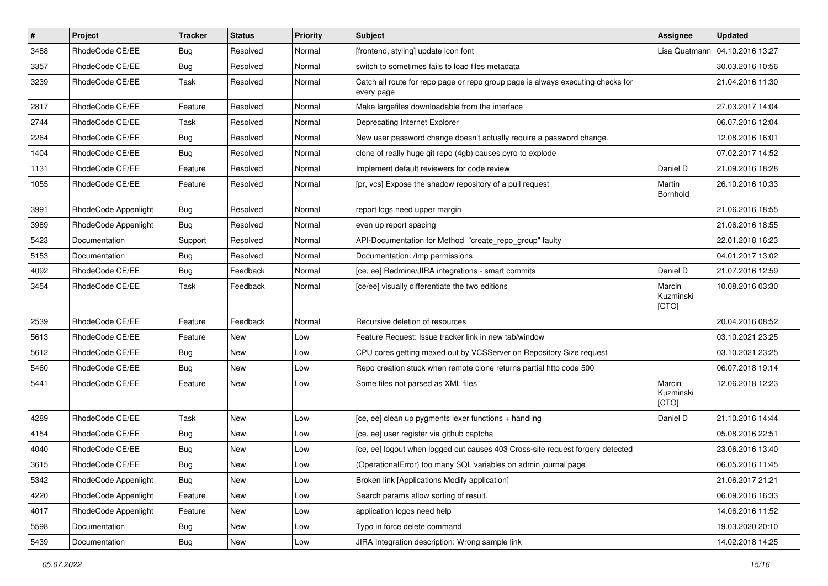| $\vert$ # | Project              | <b>Tracker</b> | <b>Status</b> | <b>Priority</b> | <b>Subject</b>                                                                                | Assignee                     | <b>Updated</b>   |
|-----------|----------------------|----------------|---------------|-----------------|-----------------------------------------------------------------------------------------------|------------------------------|------------------|
| 3488      | RhodeCode CE/EE      | <b>Bug</b>     | Resolved      | Normal          | [frontend, styling] update icon font                                                          | Lisa Quatmann                | 04.10.2016 13:27 |
| 3357      | RhodeCode CE/EE      | Bug            | Resolved      | Normal          | switch to sometimes fails to load files metadata                                              |                              | 30.03.2016 10:56 |
| 3239      | RhodeCode CE/EE      | Task           | Resolved      | Normal          | Catch all route for repo page or repo group page is always executing checks for<br>every page |                              | 21.04.2016 11:30 |
| 2817      | RhodeCode CE/EE      | Feature        | Resolved      | Normal          | Make largefiles downloadable from the interface                                               |                              | 27.03.2017 14:04 |
| 2744      | RhodeCode CE/EE      | Task           | Resolved      | Normal          | Deprecating Internet Explorer                                                                 |                              | 06.07.2016 12:04 |
| 2264      | RhodeCode CE/EE      | Bug            | Resolved      | Normal          | New user password change doesn't actually require a password change.                          |                              | 12.08.2016 16:01 |
| 1404      | RhodeCode CE/EE      | <b>Bug</b>     | Resolved      | Normal          | clone of really huge git repo (4gb) causes pyro to explode                                    |                              | 07.02.2017 14:52 |
| 1131      | RhodeCode CE/EE      | Feature        | Resolved      | Normal          | Implement default reviewers for code review                                                   | Daniel D                     | 21.09.2016 18:28 |
| 1055      | RhodeCode CE/EE      | Feature        | Resolved      | Normal          | [pr, vcs] Expose the shadow repository of a pull request                                      | Martin<br>Bornhold           | 26.10.2016 10:33 |
| 3991      | RhodeCode Appenlight | Bug            | Resolved      | Normal          | report logs need upper margin                                                                 |                              | 21.06.2016 18:55 |
| 3989      | RhodeCode Appenlight | Bug            | Resolved      | Normal          | even up report spacing                                                                        |                              | 21.06.2016 18:55 |
| 5423      | Documentation        | Support        | Resolved      | Normal          | API-Documentation for Method "create_repo_group" faulty                                       |                              | 22.01.2018 16:23 |
| 5153      | Documentation        | Bug            | Resolved      | Normal          | Documentation: /tmp permissions                                                               |                              | 04.01.2017 13:02 |
| 4092      | RhodeCode CE/EE      | <b>Bug</b>     | Feedback      | Normal          | [ce, ee] Redmine/JIRA integrations - smart commits                                            | Daniel D                     | 21.07.2016 12:59 |
| 3454      | RhodeCode CE/EE      | Task           | Feedback      | Normal          | [ce/ee] visually differentiate the two editions                                               | Marcin<br>Kuzminski<br>[CTO] | 10.08.2016 03:30 |
| 2539      | RhodeCode CE/EE      | Feature        | Feedback      | Normal          | Recursive deletion of resources                                                               |                              | 20.04.2016 08:52 |
| 5613      | RhodeCode CE/EE      | Feature        | New           | Low             | Feature Request: Issue tracker link in new tab/window                                         |                              | 03.10.2021 23:25 |
| 5612      | RhodeCode CE/EE      | Bug            | New           | Low             | CPU cores getting maxed out by VCSServer on Repository Size request                           |                              | 03.10.2021 23:25 |
| 5460      | RhodeCode CE/EE      | Bug            | New           | Low             | Repo creation stuck when remote clone returns partial http code 500                           |                              | 06.07.2018 19:14 |
| 5441      | RhodeCode CE/EE      | Feature        | New           | Low             | Some files not parsed as XML files                                                            | Marcin<br>Kuzminski<br>[CTO] | 12.06.2018 12:23 |
| 4289      | RhodeCode CE/EE      | Task           | New           | Low             | [ce, ee] clean up pygments lexer functions + handling                                         | Daniel D                     | 21.10.2016 14:44 |
| 4154      | RhodeCode CE/EE      | <b>Bug</b>     | New           | Low             | [ce, ee] user register via github captcha                                                     |                              | 05.08.2016 22:51 |
| 4040      | RhodeCode CE/EE      | Bug            | New           | Low             | [ce, ee] logout when logged out causes 403 Cross-site request forgery detected                |                              | 23.06.2016 13:40 |
| 3615      | RhodeCode CE/EE      | Bug            | New           | Low             | (OperationalError) too many SQL variables on admin journal page                               |                              | 06.05.2016 11:45 |
| 5342      | RhodeCode Appenlight | Bug            | New           | Low             | Broken link [Applications Modify application]                                                 |                              | 21.06.2017 21:21 |
| 4220      | RhodeCode Appenlight | Feature        | New           | Low             | Search params allow sorting of result.                                                        |                              | 06.09.2016 16:33 |
| 4017      | RhodeCode Appenlight | Feature        | New           | Low             | application logos need help                                                                   |                              | 14.06.2016 11:52 |
| 5598      | Documentation        | <b>Bug</b>     | New           | Low             | Typo in force delete command                                                                  |                              | 19.03.2020 20:10 |
| 5439      | Documentation        | Bug            | New           | Low             | JIRA Integration description: Wrong sample link                                               |                              | 14.02.2018 14:25 |